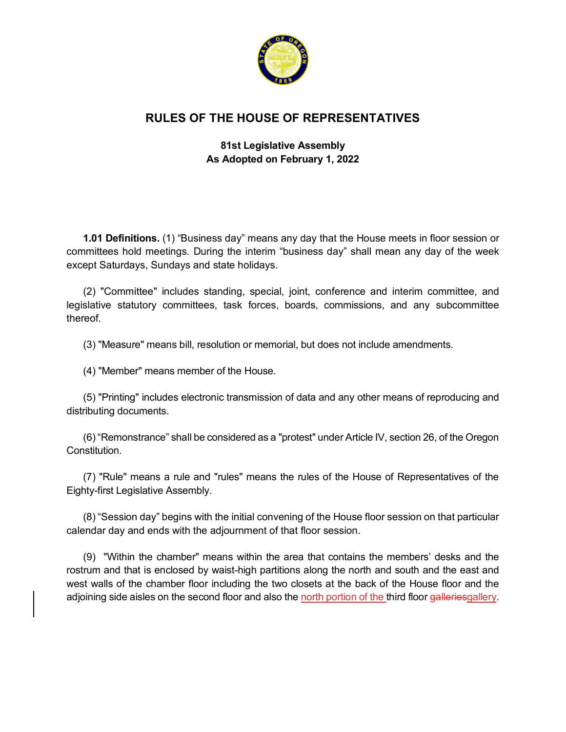

# **RULES OF THE HOUSE OF REPRESENTATIVES**

## **81st Legislative Assembly As Adopted on February 1, 2022**

**1.01 Definitions.** (1) "Business day" means any day that the House meets in floor session or committees hold meetings. During the interim "business day" shall mean any day of the week except Saturdays, Sundays and state holidays.

(2) "Committee" includes standing, special, joint, conference and interim committee, and legislative statutory committees, task forces, boards, commissions, and any subcommittee thereof.

(3) "Measure" means bill, resolution or memorial, but does not include amendments.

(4) "Member" means member of the House.

(5) "Printing" includes electronic transmission of data and any other means of reproducing and distributing documents.

(6) "Remonstrance" shall be considered as a "protest" under Article IV, section 26, of the Oregon **Constitution** 

(7) "Rule" means a rule and "rules" means the rules of the House of Representatives of the Eighty-first Legislative Assembly.

(8) "Session day" begins with the initial convening of the House floor session on that particular calendar day and ends with the adjournment of that floor session.

(9) "Within the chamber" means within the area that contains the members' desks and the rostrum and that is enclosed by waist-high partitions along the north and south and the east and west walls of the chamber floor including the two closets at the back of the House floor and the adjoining side aisles on the second floor and also the north portion of the third floor galleriesgallery.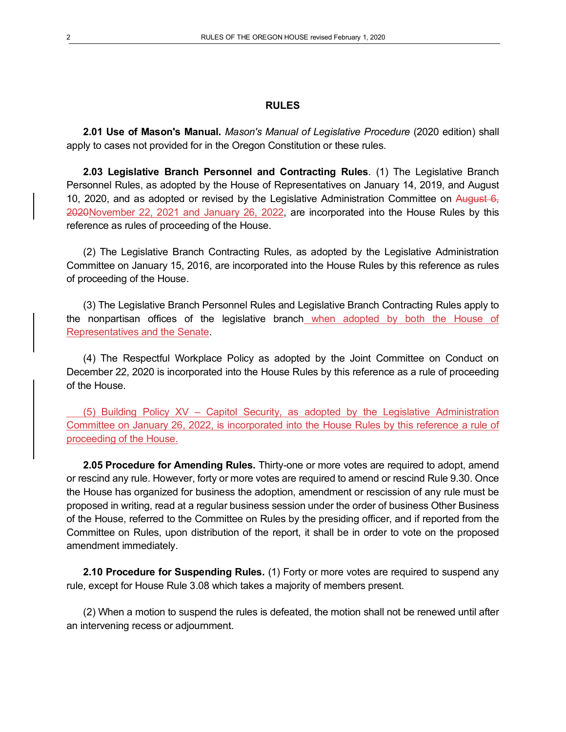#### **RULES**

**2.01 Use of Mason's Manual.** *Mason's Manual of Legislative Procedure* (2020 edition) shall apply to cases not provided for in the Oregon Constitution or these rules.

**2.03 Legislative Branch Personnel and Contracting Rules**. (1) The Legislative Branch Personnel Rules, as adopted by the House of Representatives on January 14, 2019, and August 10, 2020, and as adopted or revised by the Legislative Administration Committee on August  $6<sub>z</sub>$ 2020November 22, 2021 and January 26, 2022, are incorporated into the House Rules by this reference as rules of proceeding of the House.

(2) The Legislative Branch Contracting Rules, as adopted by the Legislative Administration Committee on January 15, 2016, are incorporated into the House Rules by this reference as rules of proceeding of the House.

(3) The Legislative Branch Personnel Rules and Legislative Branch Contracting Rules apply to the nonpartisan offices of the legislative branch when adopted by both the House of Representatives and the Senate.

(4) The Respectful Workplace Policy as adopted by the Joint Committee on Conduct on December 22, 2020 is incorporated into the House Rules by this reference as a rule of proceeding of the House.

(5) Building Policy XV – Capitol Security, as adopted by the Legislative Administration Committee on January 26, 2022, is incorporated into the House Rules by this reference a rule of proceeding of the House.

**2.05 Procedure for Amending Rules.** Thirty-one or more votes are required to adopt, amend or rescind any rule. However, forty or more votes are required to amend or rescind Rule 9.30. Once the House has organized for business the adoption, amendment or rescission of any rule must be proposed in writing, read at a regular business session under the order of business Other Business of the House, referred to the Committee on Rules by the presiding officer, and if reported from the Committee on Rules, upon distribution of the report, it shall be in order to vote on the proposed amendment immediately.

**2.10 Procedure for Suspending Rules.** (1) Forty or more votes are required to suspend any rule, except for House Rule 3.08 which takes a majority of members present.

(2) When a motion to suspend the rules is defeated, the motion shall not be renewed until after an intervening recess or adjournment.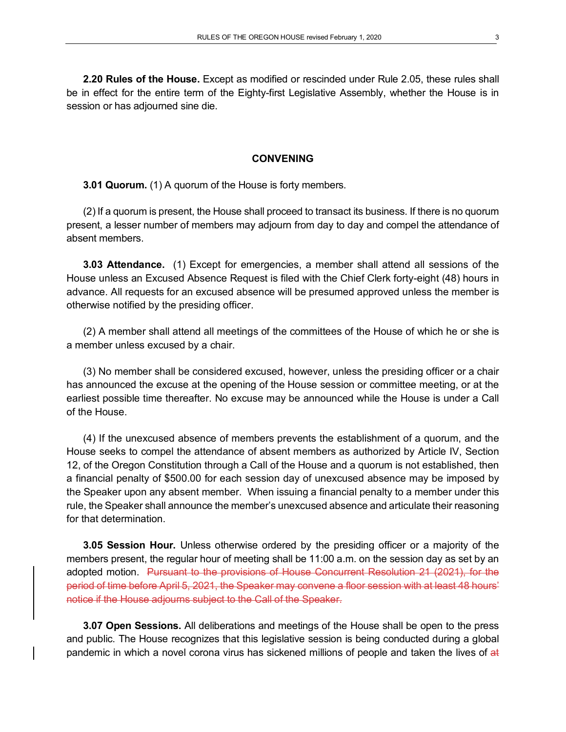**2.20 Rules of the House.** Except as modified or rescinded under Rule 2.05, these rules shall be in effect for the entire term of the Eighty-first Legislative Assembly, whether the House is in session or has adjourned sine die.

### **CONVENING**

**3.01 Quorum.** (1) A quorum of the House is forty members.

(2) If a quorum is present, the House shall proceed to transact its business. If there is no quorum present, a lesser number of members may adjourn from day to day and compel the attendance of absent members.

**3.03 Attendance.** (1) Except for emergencies, a member shall attend all sessions of the House unless an Excused Absence Request is filed with the Chief Clerk forty-eight (48) hours in advance. All requests for an excused absence will be presumed approved unless the member is otherwise notified by the presiding officer.

(2) A member shall attend all meetings of the committees of the House of which he or she is a member unless excused by a chair.

(3) No member shall be considered excused, however, unless the presiding officer or a chair has announced the excuse at the opening of the House session or committee meeting, or at the earliest possible time thereafter. No excuse may be announced while the House is under a Call of the House.

(4) If the unexcused absence of members prevents the establishment of a quorum, and the House seeks to compel the attendance of absent members as authorized by Article IV, Section 12, of the Oregon Constitution through a Call of the House and a quorum is not established, then a financial penalty of \$500.00 for each session day of unexcused absence may be imposed by the Speaker upon any absent member. When issuing a financial penalty to a member under this rule, the Speaker shall announce the member's unexcused absence and articulate their reasoning for that determination.

**3.05 Session Hour.** Unless otherwise ordered by the presiding officer or a majority of the members present, the regular hour of meeting shall be 11:00 a.m. on the session day as set by an adopted motion. Pursuant to the provisions of House Concurrent Resolution 21 (2021), for the period of time before April 5, 2021, the Speaker may convene a floor session with at least 48 hours' notice if the House adjourns subject to the Call of the Speaker.

**3.07 Open Sessions.** All deliberations and meetings of the House shall be open to the press and public. The House recognizes that this legislative session is being conducted during a global pandemic in which a novel corona virus has sickened millions of people and taken the lives of at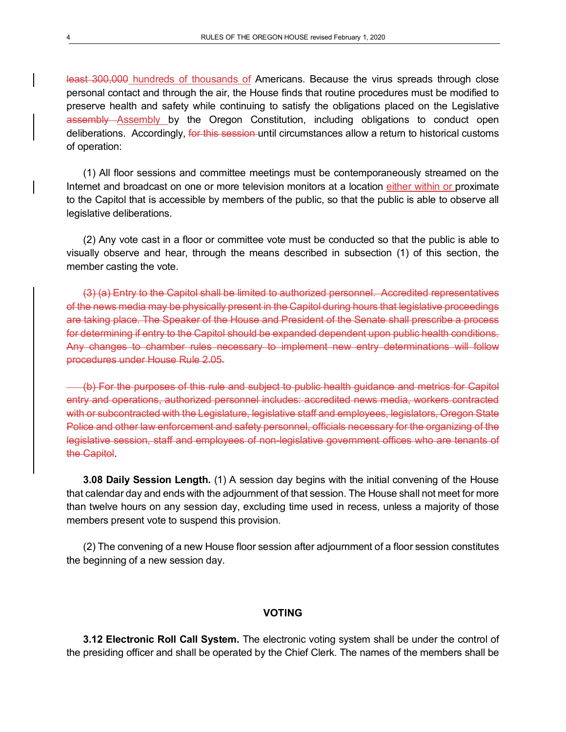least 300,000 hundreds of thousands of Americans. Because the virus spreads through close personal contact and through the air, the House finds that routine procedures must be modified to preserve health and safety while continuing to satisfy the obligations placed on the Legislative assembly Assembly by the Oregon Constitution, including obligations to conduct open deliberations. Accordingly, for this session until circumstances allow a return to historical customs of operation:

(1) All floor sessions and committee meetings must be contemporaneously streamed on the Internet and broadcast on one or more television monitors at a location either within or proximate to the Capitol that is accessible by members of the public, so that the public is able to observe all legislative deliberations.

(2) Any vote cast in a floor or committee vote must be conducted so that the public is able to visually observe and hear, through the means described in subsection (1) of this section, the member casting the vote.

(3) (a) Entry to the Capitol shall be limited to authorized personnel. Accredited representatives of the news media may be physically present in the Capitol during hours that legislative proceedings are taking place. The Speaker of the House and President of the Senate shall prescribe a process for determining if entry to the Capitol should be expanded dependent upon public health conditions. Any changes to chamber rules necessary to implement new entry determinations will follow procedures under House Rule 2.05.

(b) For the purposes of this rule and subject to public health guidance and metrics for Capitol entry and operations, authorized personnel includes: accredited news media, workers contracted with or subcontracted with the Legislature, legislative staff and employees, legislators, Oregon State Police and other law enforcement and safety personnel, officials necessary for the organizing of the legislative session, staff and employees of non-legislative government offices who are tenants of the Capitol.

**3.08 Daily Session Length.** (1) A session day begins with the initial convening of the House that calendar day and ends with the adjournment of that session. The House shall not meet for more than twelve hours on any session day, excluding time used in recess, unless a majority of those members present vote to suspend this provision.

(2) The convening of a new House floor session after adjournment of a floor session constitutes the beginning of a new session day.

### **VOTING**

**3.12 Electronic Roll Call System.** The electronic voting system shall be under the control of the presiding officer and shall be operated by the Chief Clerk. The names of the members shall be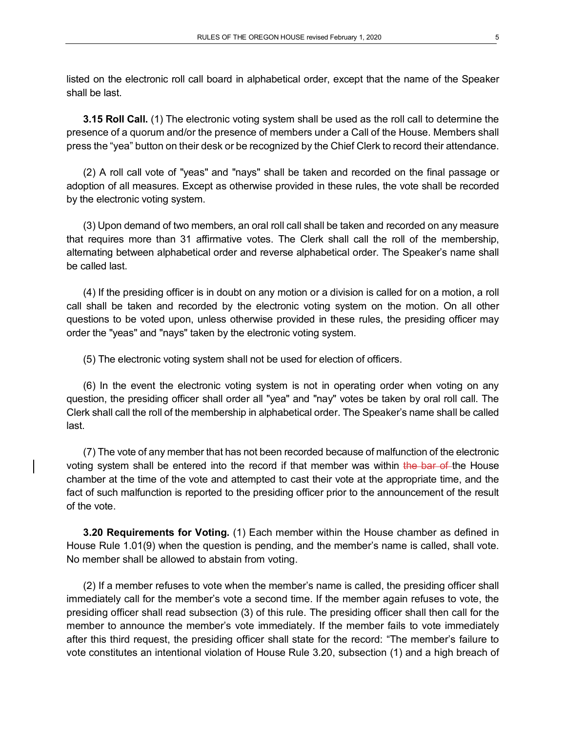listed on the electronic roll call board in alphabetical order, except that the name of the Speaker shall be last.

**3.15 Roll Call.** (1) The electronic voting system shall be used as the roll call to determine the presence of a quorum and/or the presence of members under a Call of the House. Members shall press the "yea" button on their desk or be recognized by the Chief Clerk to record their attendance.

(2) A roll call vote of "yeas" and "nays" shall be taken and recorded on the final passage or adoption of all measures. Except as otherwise provided in these rules, the vote shall be recorded by the electronic voting system.

(3) Upon demand of two members, an oral roll call shall be taken and recorded on any measure that requires more than 31 affirmative votes. The Clerk shall call the roll of the membership, alternating between alphabetical order and reverse alphabetical order. The Speaker's name shall be called last.

(4) If the presiding officer is in doubt on any motion or a division is called for on a motion, a roll call shall be taken and recorded by the electronic voting system on the motion. On all other questions to be voted upon, unless otherwise provided in these rules, the presiding officer may order the "yeas" and "nays" taken by the electronic voting system.

(5) The electronic voting system shall not be used for election of officers.

(6) In the event the electronic voting system is not in operating order when voting on any question, the presiding officer shall order all "yea" and "nay" votes be taken by oral roll call. The Clerk shall call the roll of the membership in alphabetical order. The Speaker's name shall be called last.

(7) The vote of any member that has not been recorded because of malfunction of the electronic voting system shall be entered into the record if that member was within the bar of the House chamber at the time of the vote and attempted to cast their vote at the appropriate time, and the fact of such malfunction is reported to the presiding officer prior to the announcement of the result of the vote.

**3.20 Requirements for Voting.** (1) Each member within the House chamber as defined in House Rule 1.01(9) when the question is pending, and the member's name is called, shall vote. No member shall be allowed to abstain from voting.

(2) If a member refuses to vote when the member's name is called, the presiding officer shall immediately call for the member's vote a second time. If the member again refuses to vote, the presiding officer shall read subsection (3) of this rule. The presiding officer shall then call for the member to announce the member's vote immediately. If the member fails to vote immediately after this third request, the presiding officer shall state for the record: "The member's failure to vote constitutes an intentional violation of House Rule 3.20, subsection (1) and a high breach of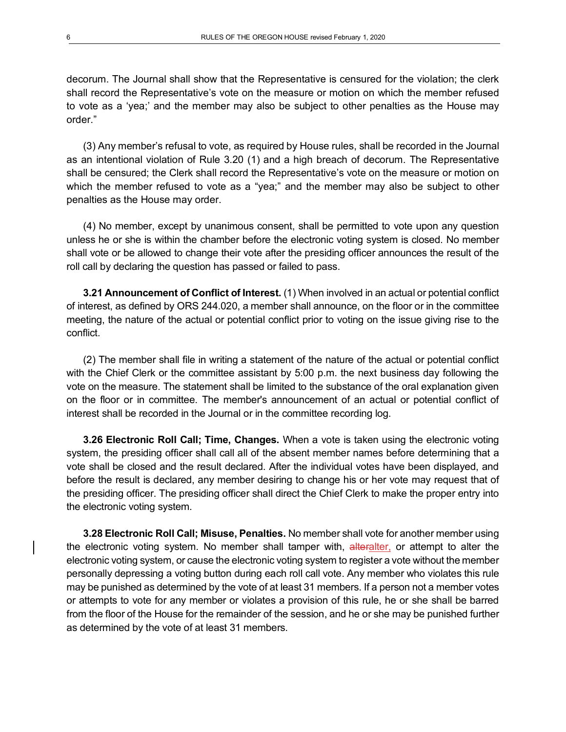decorum. The Journal shall show that the Representative is censured for the violation; the clerk shall record the Representative's vote on the measure or motion on which the member refused to vote as a 'yea;' and the member may also be subject to other penalties as the House may order."

(3) Any member's refusal to vote, as required by House rules, shall be recorded in the Journal as an intentional violation of Rule 3.20 (1) and a high breach of decorum. The Representative shall be censured; the Clerk shall record the Representative's vote on the measure or motion on which the member refused to vote as a "yea;" and the member may also be subject to other penalties as the House may order.

(4) No member, except by unanimous consent, shall be permitted to vote upon any question unless he or she is within the chamber before the electronic voting system is closed. No member shall vote or be allowed to change their vote after the presiding officer announces the result of the roll call by declaring the question has passed or failed to pass.

**3.21 Announcement of Conflict of Interest.** (1) When involved in an actual or potential conflict of interest, as defined by ORS 244.020, a member shall announce, on the floor or in the committee meeting, the nature of the actual or potential conflict prior to voting on the issue giving rise to the conflict.

(2) The member shall file in writing a statement of the nature of the actual or potential conflict with the Chief Clerk or the committee assistant by 5:00 p.m. the next business day following the vote on the measure. The statement shall be limited to the substance of the oral explanation given on the floor or in committee. The member's announcement of an actual or potential conflict of interest shall be recorded in the Journal or in the committee recording log.

**3.26 Electronic Roll Call; Time, Changes.** When a vote is taken using the electronic voting system, the presiding officer shall call all of the absent member names before determining that a vote shall be closed and the result declared. After the individual votes have been displayed, and before the result is declared, any member desiring to change his or her vote may request that of the presiding officer. The presiding officer shall direct the Chief Clerk to make the proper entry into the electronic voting system.

**3.28 Electronic Roll Call; Misuse, Penalties.** No member shall vote for another member using the electronic voting system. No member shall tamper with, alteralter, or attempt to alter the electronic voting system, or cause the electronic voting system to register a vote without the member personally depressing a voting button during each roll call vote. Any member who violates this rule may be punished as determined by the vote of at least 31 members. If a person not a member votes or attempts to vote for any member or violates a provision of this rule, he or she shall be barred from the floor of the House for the remainder of the session, and he or she may be punished further as determined by the vote of at least 31 members.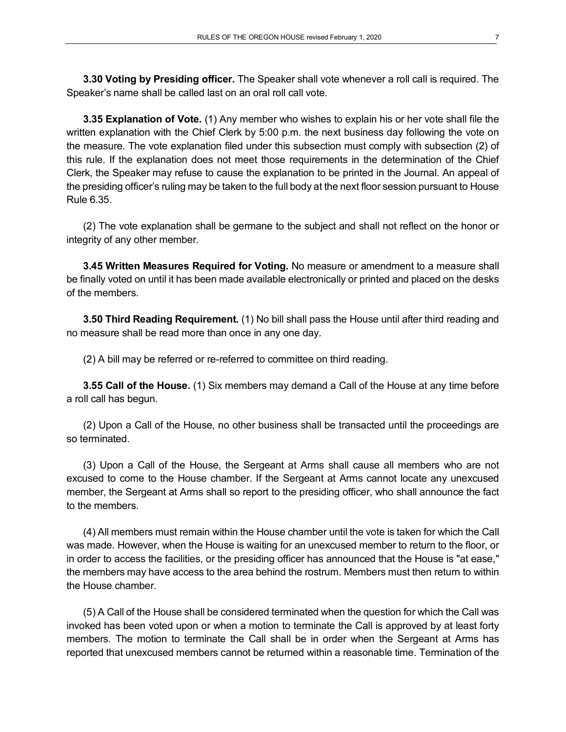**3.30 Voting by Presiding officer.** The Speaker shall vote whenever a roll call is required. The Speaker's name shall be called last on an oral roll call vote.

**3.35 Explanation of Vote.** (1) Any member who wishes to explain his or her vote shall file the written explanation with the Chief Clerk by 5:00 p.m. the next business day following the vote on the measure. The vote explanation filed under this subsection must comply with subsection (2) of this rule. If the explanation does not meet those requirements in the determination of the Chief Clerk, the Speaker may refuse to cause the explanation to be printed in the Journal. An appeal of the presiding officer's ruling may be taken to the full body at the next floor session pursuant to House Rule 6.35.

(2) The vote explanation shall be germane to the subject and shall not reflect on the honor or integrity of any other member.

**3.45 Written Measures Required for Voting.** No measure or amendment to a measure shall be finally voted on until it has been made available electronically or printed and placed on the desks of the members.

**3.50 Third Reading Requirement.** (1) No bill shall pass the House until after third reading and no measure shall be read more than once in any one day.

(2) A bill may be referred or re-referred to committee on third reading.

**3.55 Call of the House.** (1) Six members may demand a Call of the House at any time before a roll call has begun.

(2) Upon a Call of the House, no other business shall be transacted until the proceedings are so terminated.

(3) Upon a Call of the House, the Sergeant at Arms shall cause all members who are not excused to come to the House chamber. If the Sergeant at Arms cannot locate any unexcused member, the Sergeant at Arms shall so report to the presiding officer, who shall announce the fact to the members.

(4) All members must remain within the House chamber until the vote is taken for which the Call was made. However, when the House is waiting for an unexcused member to return to the floor, or in order to access the facilities, or the presiding officer has announced that the House is "at ease," the members may have access to the area behind the rostrum. Members must then return to within the House chamber.

(5) A Call of the House shall be considered terminated when the question for which the Call was invoked has been voted upon or when a motion to terminate the Call is approved by at least forty members. The motion to terminate the Call shall be in order when the Sergeant at Arms has reported that unexcused members cannot be returned within a reasonable time. Termination of the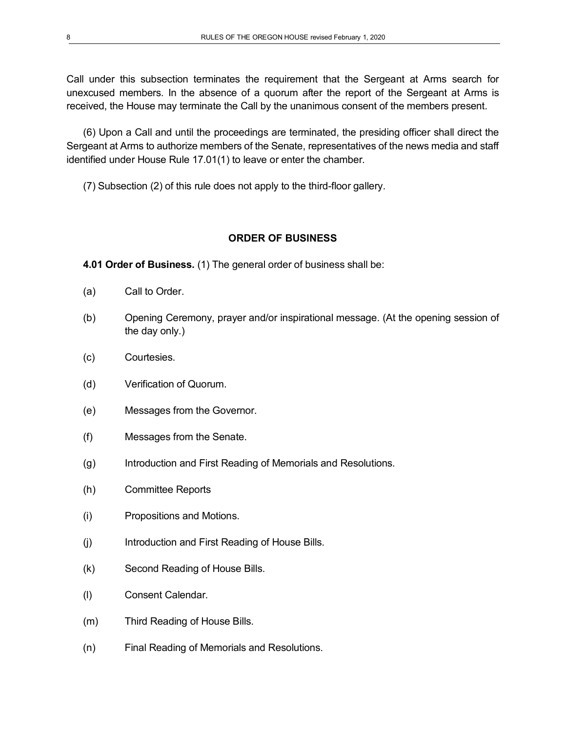Call under this subsection terminates the requirement that the Sergeant at Arms search for unexcused members. In the absence of a quorum after the report of the Sergeant at Arms is received, the House may terminate the Call by the unanimous consent of the members present.

(6) Upon a Call and until the proceedings are terminated, the presiding officer shall direct the Sergeant at Arms to authorize members of the Senate, representatives of the news media and staff identified under House Rule 17.01(1) to leave or enter the chamber.

(7) Subsection (2) of this rule does not apply to the third-floor gallery.

### **ORDER OF BUSINESS**

**4.01 Order of Business.** (1) The general order of business shall be:

- (a) Call to Order.
- (b) Opening Ceremony, prayer and/or inspirational message. (At the opening session of the day only.)
- (c) Courtesies.
- (d) Verification of Quorum.
- (e) Messages from the Governor.
- (f) Messages from the Senate.
- (g) Introduction and First Reading of Memorials and Resolutions.
- (h) Committee Reports
- (i) Propositions and Motions.
- (j) Introduction and First Reading of House Bills.
- (k) Second Reading of House Bills.
- (l) Consent Calendar.
- (m) Third Reading of House Bills.
- (n) Final Reading of Memorials and Resolutions.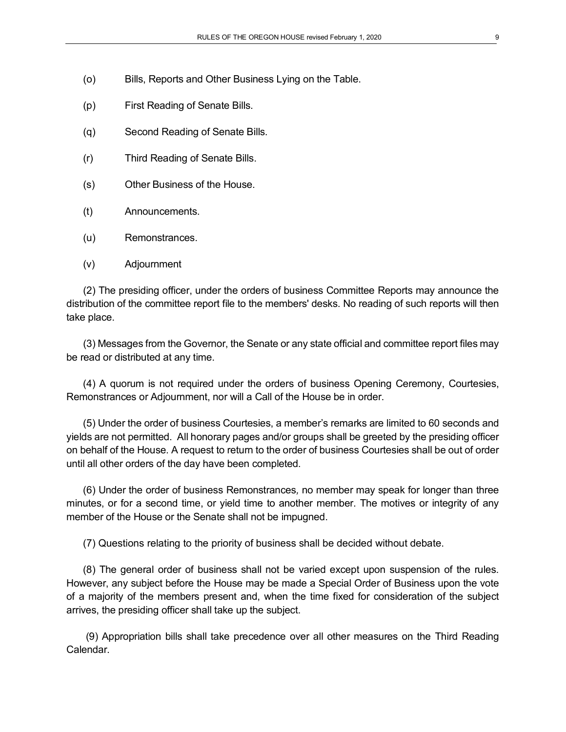- (o) Bills, Reports and Other Business Lying on the Table.
- (p) First Reading of Senate Bills.
- (q) Second Reading of Senate Bills.
- (r) Third Reading of Senate Bills.
- (s) Other Business of the House.
- (t) Announcements.
- (u) Remonstrances.
- (v) Adjournment

(2) The presiding officer, under the orders of business Committee Reports may announce the distribution of the committee report file to the members' desks. No reading of such reports will then take place.

(3) Messages from the Governor, the Senate or any state official and committee report files may be read or distributed at any time.

(4) A quorum is not required under the orders of business Opening Ceremony, Courtesies, Remonstrances or Adjournment, nor will a Call of the House be in order.

(5) Under the order of business Courtesies, a member's remarks are limited to 60 seconds and yields are not permitted. All honorary pages and/or groups shall be greeted by the presiding officer on behalf of the House. A request to return to the order of business Courtesies shall be out of order until all other orders of the day have been completed.

(6) Under the order of business Remonstrances*,* no member may speak for longer than three minutes, or for a second time, or yield time to another member. The motives or integrity of any member of the House or the Senate shall not be impugned.

(7) Questions relating to the priority of business shall be decided without debate.

(8) The general order of business shall not be varied except upon suspension of the rules. However, any subject before the House may be made a Special Order of Business upon the vote of a majority of the members present and, when the time fixed for consideration of the subject arrives, the presiding officer shall take up the subject.

(9) Appropriation bills shall take precedence over all other measures on the Third Reading Calendar.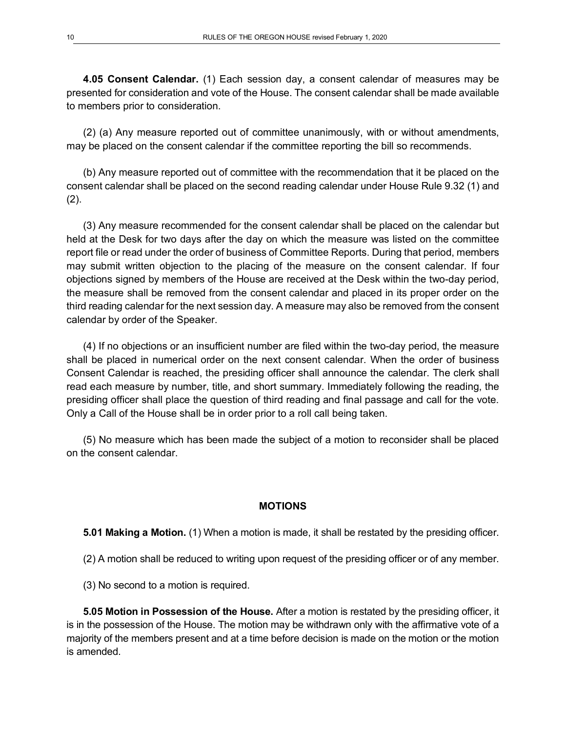**4.05 Consent Calendar.** (1) Each session day, a consent calendar of measures may be presented for consideration and vote of the House. The consent calendar shall be made available to members prior to consideration.

(2) (a) Any measure reported out of committee unanimously, with or without amendments, may be placed on the consent calendar if the committee reporting the bill so recommends.

(b) Any measure reported out of committee with the recommendation that it be placed on the consent calendar shall be placed on the second reading calendar under House Rule 9.32 (1) and  $(2)$ .

(3) Any measure recommended for the consent calendar shall be placed on the calendar but held at the Desk for two days after the day on which the measure was listed on the committee report file or read under the order of business of Committee Reports. During that period, members may submit written objection to the placing of the measure on the consent calendar. If four objections signed by members of the House are received at the Desk within the two-day period, the measure shall be removed from the consent calendar and placed in its proper order on the third reading calendar for the next session day. A measure may also be removed from the consent calendar by order of the Speaker.

(4) If no objections or an insufficient number are filed within the two-day period, the measure shall be placed in numerical order on the next consent calendar. When the order of business Consent Calendar is reached, the presiding officer shall announce the calendar. The clerk shall read each measure by number, title, and short summary. Immediately following the reading, the presiding officer shall place the question of third reading and final passage and call for the vote. Only a Call of the House shall be in order prior to a roll call being taken.

(5) No measure which has been made the subject of a motion to reconsider shall be placed on the consent calendar.

### **MOTIONS**

**5.01 Making a Motion.** (1) When a motion is made, it shall be restated by the presiding officer.

(2) A motion shall be reduced to writing upon request of the presiding officer or of any member.

(3) No second to a motion is required.

**5.05 Motion in Possession of the House.** After a motion is restated by the presiding officer, it is in the possession of the House. The motion may be withdrawn only with the affirmative vote of a majority of the members present and at a time before decision is made on the motion or the motion is amended.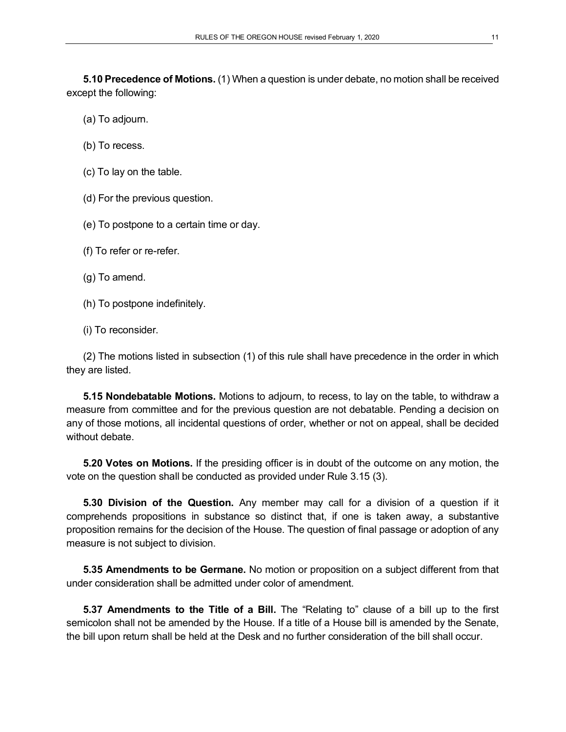**5.10 Precedence of Motions.** (1) When a question is under debate, no motion shall be received except the following:

- (a) To adjourn.
- (b) To recess.
- (c) To lay on the table.
- (d) For the previous question.
- (e) To postpone to a certain time or day.
- (f) To refer or re-refer.
- (g) To amend.
- (h) To postpone indefinitely.
- (i) To reconsider.

(2) The motions listed in subsection (1) of this rule shall have precedence in the order in which they are listed.

**5.15 Nondebatable Motions.** Motions to adjourn, to recess, to lay on the table, to withdraw a measure from committee and for the previous question are not debatable. Pending a decision on any of those motions, all incidental questions of order, whether or not on appeal, shall be decided without debate.

**5.20 Votes on Motions.** If the presiding officer is in doubt of the outcome on any motion, the vote on the question shall be conducted as provided under Rule 3.15 (3).

**5.30 Division of the Question.** Any member may call for a division of a question if it comprehends propositions in substance so distinct that, if one is taken away, a substantive proposition remains for the decision of the House. The question of final passage or adoption of any measure is not subject to division.

**5.35 Amendments to be Germane.** No motion or proposition on a subject different from that under consideration shall be admitted under color of amendment.

**5.37 Amendments to the Title of a Bill.** The "Relating to" clause of a bill up to the first semicolon shall not be amended by the House. If a title of a House bill is amended by the Senate, the bill upon return shall be held at the Desk and no further consideration of the bill shall occur.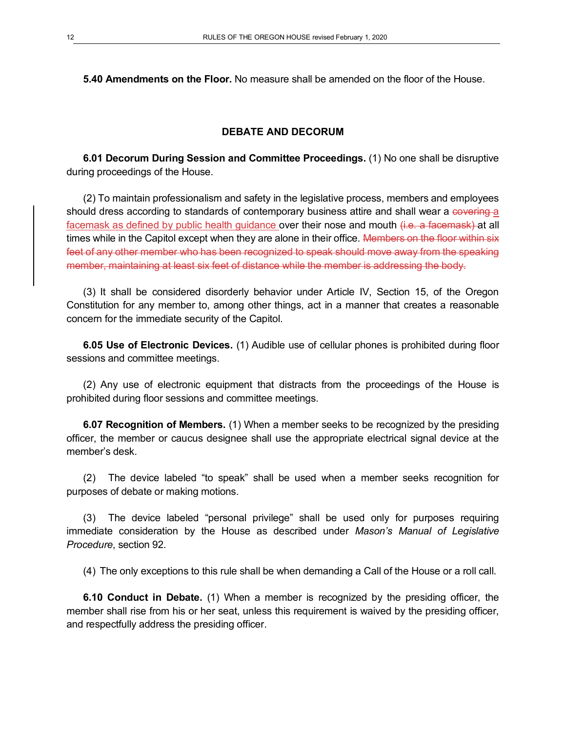**5.40 Amendments on the Floor.** No measure shall be amended on the floor of the House.

### **DEBATE AND DECORUM**

**6.01 Decorum During Session and Committee Proceedings.** (1) No one shall be disruptive during proceedings of the House.

(2) To maintain professionalism and safety in the legislative process, members and employees should dress according to standards of contemporary business attire and shall wear a covering a facemask as defined by public health guidance over their nose and mouth (i.e. a facemask) at all times while in the Capitol except when they are alone in their office. Members on the floor within six feet of any other member who has been recognized to speak should move away from the speaking member, maintaining at least six feet of distance while the member is addressing the body.

(3) It shall be considered disorderly behavior under Article IV, Section 15, of the Oregon Constitution for any member to, among other things, act in a manner that creates a reasonable concern for the immediate security of the Capitol.

**6.05 Use of Electronic Devices.** (1) Audible use of cellular phones is prohibited during floor sessions and committee meetings.

(2) Any use of electronic equipment that distracts from the proceedings of the House is prohibited during floor sessions and committee meetings.

**6.07 Recognition of Members.** (1) When a member seeks to be recognized by the presiding officer, the member or caucus designee shall use the appropriate electrical signal device at the member's desk.

(2) The device labeled "to speak" shall be used when a member seeks recognition for purposes of debate or making motions.

(3) The device labeled "personal privilege" shall be used only for purposes requiring immediate consideration by the House as described under *Mason's Manual of Legislative Procedure*, section 92.

(4) The only exceptions to this rule shall be when demanding a Call of the House or a roll call.

**6.10 Conduct in Debate.** (1) When a member is recognized by the presiding officer, the member shall rise from his or her seat, unless this requirement is waived by the presiding officer, and respectfully address the presiding officer.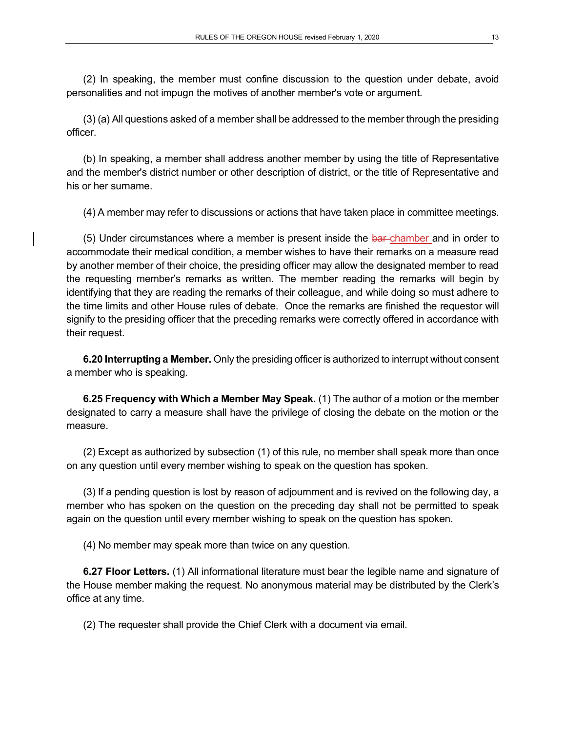(2) In speaking, the member must confine discussion to the question under debate, avoid personalities and not impugn the motives of another member's vote or argument.

(3) (a) All questions asked of a member shall be addressed to the member through the presiding officer.

(b) In speaking, a member shall address another member by using the title of Representative and the member's district number or other description of district, or the title of Representative and his or her surname.

(4) A member may refer to discussions or actions that have taken place in committee meetings.

(5) Under circumstances where a member is present inside the bar-chamber and in order to accommodate their medical condition, a member wishes to have their remarks on a measure read by another member of their choice, the presiding officer may allow the designated member to read the requesting member's remarks as written. The member reading the remarks will begin by identifying that they are reading the remarks of their colleague, and while doing so must adhere to the time limits and other House rules of debate. Once the remarks are finished the requestor will signify to the presiding officer that the preceding remarks were correctly offered in accordance with their request.

**6.20 Interrupting a Member.** Only the presiding officer is authorized to interrupt without consent a member who is speaking.

**6.25 Frequency with Which a Member May Speak.** (1) The author of a motion or the member designated to carry a measure shall have the privilege of closing the debate on the motion or the measure.

(2) Except as authorized by subsection (1) of this rule, no member shall speak more than once on any question until every member wishing to speak on the question has spoken.

(3) If a pending question is lost by reason of adjournment and is revived on the following day, a member who has spoken on the question on the preceding day shall not be permitted to speak again on the question until every member wishing to speak on the question has spoken.

(4) No member may speak more than twice on any question.

**6.27 Floor Letters.** (1) All informational literature must bear the legible name and signature of the House member making the request. No anonymous material may be distributed by the Clerk's office at any time.

(2) The requester shall provide the Chief Clerk with a document via email.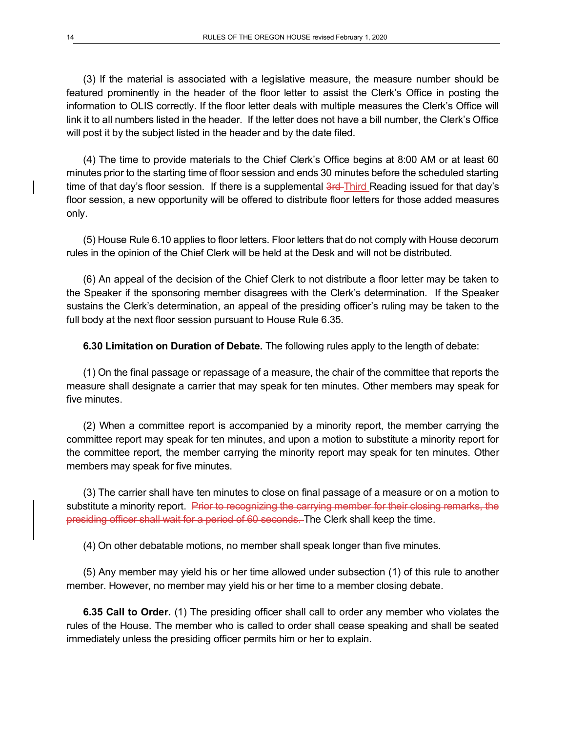(3) If the material is associated with a legislative measure, the measure number should be featured prominently in the header of the floor letter to assist the Clerk's Office in posting the information to OLIS correctly. If the floor letter deals with multiple measures the Clerk's Office will link it to all numbers listed in the header. If the letter does not have a bill number, the Clerk's Office will post it by the subject listed in the header and by the date filed.

(4) The time to provide materials to the Chief Clerk's Office begins at 8:00 AM or at least 60 minutes prior to the starting time of floor session and ends 30 minutes before the scheduled starting time of that day's floor session. If there is a supplemental 3rd-Third Reading issued for that day's floor session, a new opportunity will be offered to distribute floor letters for those added measures only.

(5) House Rule 6.10 applies to floor letters. Floor letters that do not comply with House decorum rules in the opinion of the Chief Clerk will be held at the Desk and will not be distributed.

(6) An appeal of the decision of the Chief Clerk to not distribute a floor letter may be taken to the Speaker if the sponsoring member disagrees with the Clerk's determination. If the Speaker sustains the Clerk's determination, an appeal of the presiding officer's ruling may be taken to the full body at the next floor session pursuant to House Rule 6.35.

**6.30 Limitation on Duration of Debate.** The following rules apply to the length of debate:

(1) On the final passage or repassage of a measure, the chair of the committee that reports the measure shall designate a carrier that may speak for ten minutes. Other members may speak for five minutes.

(2) When a committee report is accompanied by a minority report, the member carrying the committee report may speak for ten minutes, and upon a motion to substitute a minority report for the committee report, the member carrying the minority report may speak for ten minutes. Other members may speak for five minutes.

(3) The carrier shall have ten minutes to close on final passage of a measure or on a motion to substitute a minority report. Prior to recognizing the carrying member for their closing remarks, the presiding officer shall wait for a period of 60 seconds. The Clerk shall keep the time.

(4) On other debatable motions, no member shall speak longer than five minutes.

(5) Any member may yield his or her time allowed under subsection (1) of this rule to another member. However, no member may yield his or her time to a member closing debate.

**6.35 Call to Order.** (1) The presiding officer shall call to order any member who violates the rules of the House. The member who is called to order shall cease speaking and shall be seated immediately unless the presiding officer permits him or her to explain.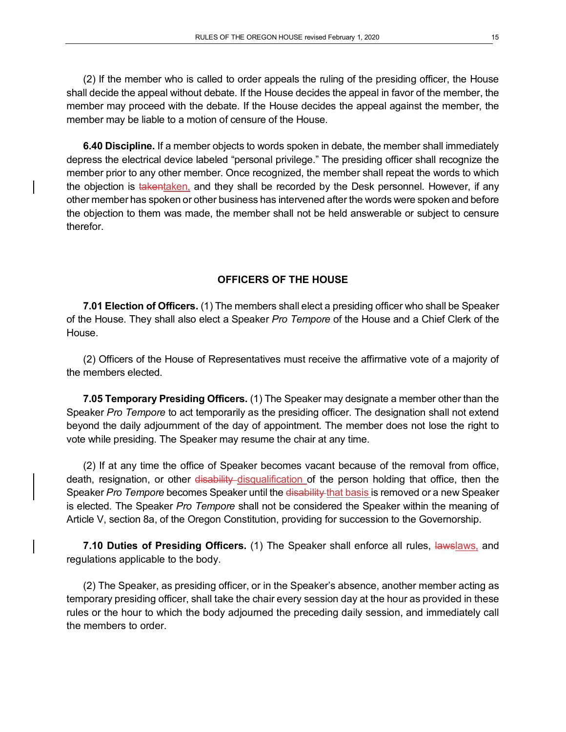(2) If the member who is called to order appeals the ruling of the presiding officer, the House shall decide the appeal without debate. If the House decides the appeal in favor of the member, the member may proceed with the debate. If the House decides the appeal against the member, the member may be liable to a motion of censure of the House.

**6.40 Discipline.** If a member objects to words spoken in debate, the member shall immediately depress the electrical device labeled "personal privilege." The presiding officer shall recognize the member prior to any other member. Once recognized, the member shall repeat the words to which the objection is takentaken, and they shall be recorded by the Desk personnel. However, if any other member has spoken or other business has intervened after the words were spoken and before the objection to them was made, the member shall not be held answerable or subject to censure therefor.

### **OFFICERS OF THE HOUSE**

**7.01 Election of Officers.** (1) The members shall elect a presiding officer who shall be Speaker of the House. They shall also elect a Speaker *Pro Tempore* of the House and a Chief Clerk of the House.

(2) Officers of the House of Representatives must receive the affirmative vote of a majority of the members elected.

**7.05 Temporary Presiding Officers.** (1) The Speaker may designate a member other than the Speaker *Pro Tempore* to act temporarily as the presiding officer. The designation shall not extend beyond the daily adjournment of the day of appointment. The member does not lose the right to vote while presiding. The Speaker may resume the chair at any time.

(2) If at any time the office of Speaker becomes vacant because of the removal from office, death, resignation, or other disability disqualification of the person holding that office, then the Speaker *Pro Tempore* becomes Speaker until the disability that basis is removed or a new Speaker is elected. The Speaker *Pro Tempore* shall not be considered the Speaker within the meaning of Article V, section 8a, of the Oregon Constitution, providing for succession to the Governorship.

**7.10 Duties of Presiding Officers.** (1) The Speaker shall enforce all rules, lawslaws, and regulations applicable to the body.

(2) The Speaker, as presiding officer, or in the Speaker's absence, another member acting as temporary presiding officer, shall take the chair every session day at the hour as provided in these rules or the hour to which the body adjourned the preceding daily session, and immediately call the members to order.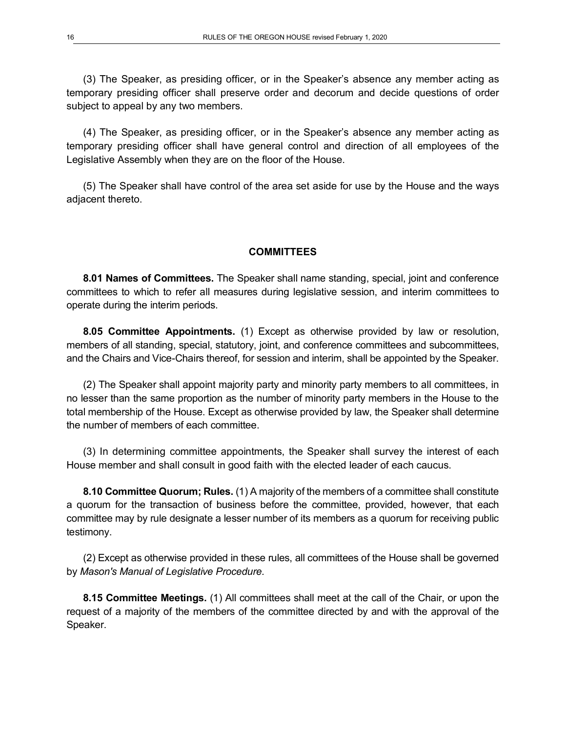(3) The Speaker, as presiding officer, or in the Speaker's absence any member acting as temporary presiding officer shall preserve order and decorum and decide questions of order subject to appeal by any two members.

(4) The Speaker, as presiding officer, or in the Speaker's absence any member acting as temporary presiding officer shall have general control and direction of all employees of the Legislative Assembly when they are on the floor of the House.

(5) The Speaker shall have control of the area set aside for use by the House and the ways adjacent thereto.

#### **COMMITTEES**

**8.01 Names of Committees.** The Speaker shall name standing, special, joint and conference committees to which to refer all measures during legislative session, and interim committees to operate during the interim periods.

**8.05 Committee Appointments.** (1) Except as otherwise provided by law or resolution, members of all standing, special, statutory, joint, and conference committees and subcommittees, and the Chairs and Vice-Chairs thereof, for session and interim, shall be appointed by the Speaker.

(2) The Speaker shall appoint majority party and minority party members to all committees, in no lesser than the same proportion as the number of minority party members in the House to the total membership of the House. Except as otherwise provided by law, the Speaker shall determine the number of members of each committee.

(3) In determining committee appointments, the Speaker shall survey the interest of each House member and shall consult in good faith with the elected leader of each caucus.

**8.10 Committee Quorum; Rules.** (1) A majority of the members of a committee shall constitute a quorum for the transaction of business before the committee, provided, however, that each committee may by rule designate a lesser number of its members as a quorum for receiving public testimony.

(2) Except as otherwise provided in these rules, all committees of the House shall be governed by *Mason's Manual of Legislative Procedure.*

**8.15 Committee Meetings.** (1) All committees shall meet at the call of the Chair, or upon the request of a majority of the members of the committee directed by and with the approval of the Speaker.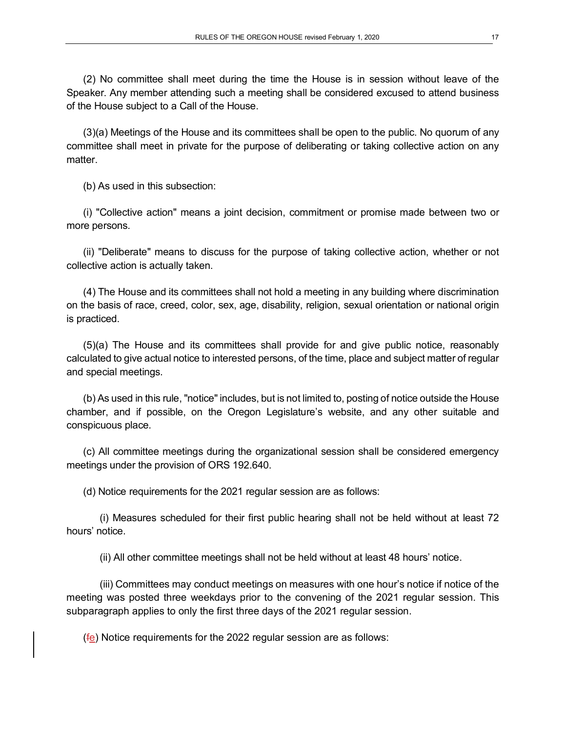(2) No committee shall meet during the time the House is in session without leave of the Speaker. Any member attending such a meeting shall be considered excused to attend business of the House subject to a Call of the House.

(3)(a) Meetings of the House and its committees shall be open to the public. No quorum of any committee shall meet in private for the purpose of deliberating or taking collective action on any matter.

(b) As used in this subsection:

(i) "Collective action" means a joint decision, commitment or promise made between two or more persons.

(ii) "Deliberate" means to discuss for the purpose of taking collective action, whether or not collective action is actually taken.

(4) The House and its committees shall not hold a meeting in any building where discrimination on the basis of race, creed, color, sex, age, disability, religion, sexual orientation or national origin is practiced.

(5)(a) The House and its committees shall provide for and give public notice, reasonably calculated to give actual notice to interested persons, of the time, place and subject matter of regular and special meetings.

(b) As used in this rule, "notice" includes, but is not limited to, posting of notice outside the House chamber, and if possible, on the Oregon Legislature's website, and any other suitable and conspicuous place.

(c) All committee meetings during the organizational session shall be considered emergency meetings under the provision of ORS 192.640.

(d) Notice requirements for the 2021 regular session are as follows:

(i) Measures scheduled for their first public hearing shall not be held without at least 72 hours' notice.

(ii) All other committee meetings shall not be held without at least 48 hours' notice.

(iii) Committees may conduct meetings on measures with one hour's notice if notice of the meeting was posted three weekdays prior to the convening of the 2021 regular session. This subparagraph applies to only the first three days of the 2021 regular session.

 $(f<sub>e</sub>)$  Notice requirements for the 2022 regular session are as follows: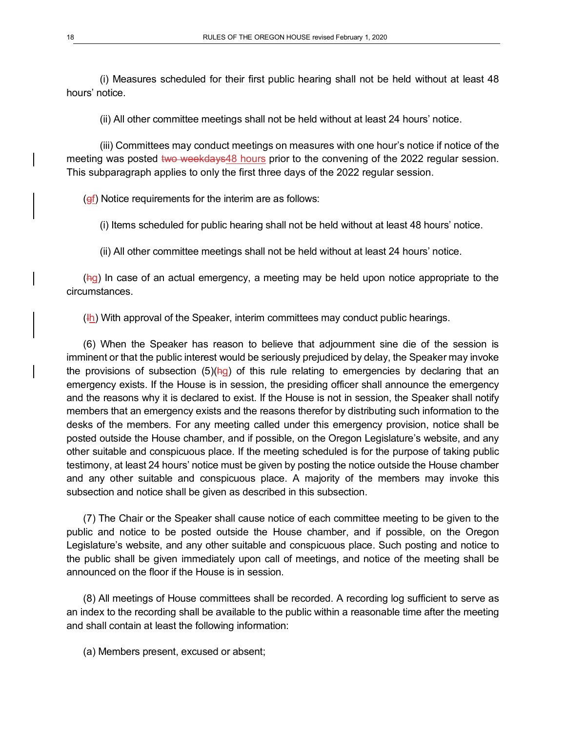(i) Measures scheduled for their first public hearing shall not be held without at least 48 hours' notice.

(ii) All other committee meetings shall not be held without at least 24 hours' notice.

(iii) Committees may conduct meetings on measures with one hour's notice if notice of the meeting was posted two weekdays48 hours prior to the convening of the 2022 regular session. This subparagraph applies to only the first three days of the 2022 regular session.

 $(gf)$  Notice requirements for the interim are as follows:

(i) Items scheduled for public hearing shall not be held without at least 48 hours' notice.

(ii) All other committee meetings shall not be held without at least 24 hours' notice.

(hg) In case of an actual emergency, a meeting may be held upon notice appropriate to the circumstances.

 $(H)$ ) With approval of the Speaker, interim committees may conduct public hearings.

(6) When the Speaker has reason to believe that adjournment sine die of the session is imminent or that the public interest would be seriously prejudiced by delay, the Speaker may invoke the provisions of subsection  $(5)(hg)$  of this rule relating to emergencies by declaring that an emergency exists. If the House is in session, the presiding officer shall announce the emergency and the reasons why it is declared to exist. If the House is not in session, the Speaker shall notify members that an emergency exists and the reasons therefor by distributing such information to the desks of the members. For any meeting called under this emergency provision, notice shall be posted outside the House chamber, and if possible, on the Oregon Legislature's website, and any other suitable and conspicuous place. If the meeting scheduled is for the purpose of taking public testimony, at least 24 hours' notice must be given by posting the notice outside the House chamber and any other suitable and conspicuous place. A majority of the members may invoke this subsection and notice shall be given as described in this subsection.

(7) The Chair or the Speaker shall cause notice of each committee meeting to be given to the public and notice to be posted outside the House chamber, and if possible, on the Oregon Legislature's website, and any other suitable and conspicuous place. Such posting and notice to the public shall be given immediately upon call of meetings, and notice of the meeting shall be announced on the floor if the House is in session.

(8) All meetings of House committees shall be recorded. A recording log sufficient to serve as an index to the recording shall be available to the public within a reasonable time after the meeting and shall contain at least the following information:

(a) Members present, excused or absent;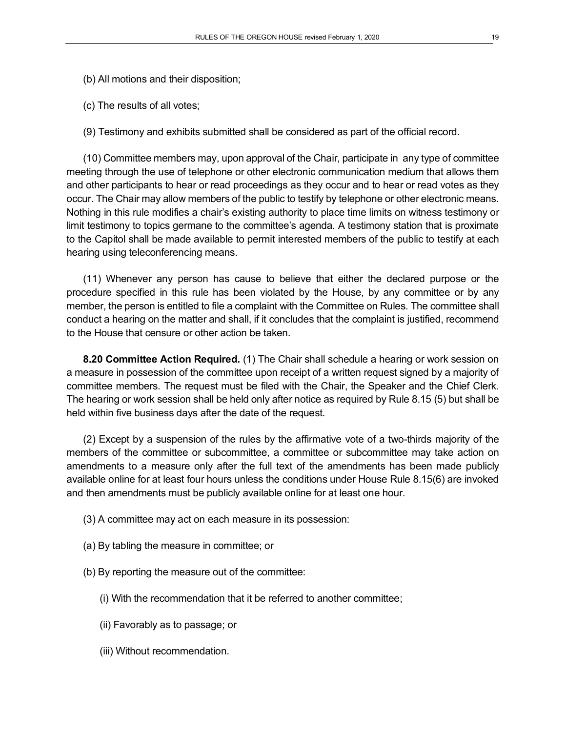- (b) All motions and their disposition;
- (c) The results of all votes;
- (9) Testimony and exhibits submitted shall be considered as part of the official record.

(10) Committee members may, upon approval of the Chair, participate in any type of committee meeting through the use of telephone or other electronic communication medium that allows them and other participants to hear or read proceedings as they occur and to hear or read votes as they occur. The Chair may allow members of the public to testify by telephone or other electronic means. Nothing in this rule modifies a chair's existing authority to place time limits on witness testimony or limit testimony to topics germane to the committee's agenda. A testimony station that is proximate to the Capitol shall be made available to permit interested members of the public to testify at each hearing using teleconferencing means.

(11) Whenever any person has cause to believe that either the declared purpose or the procedure specified in this rule has been violated by the House, by any committee or by any member, the person is entitled to file a complaint with the Committee on Rules. The committee shall conduct a hearing on the matter and shall, if it concludes that the complaint is justified, recommend to the House that censure or other action be taken.

**8.20 Committee Action Required.** (1) The Chair shall schedule a hearing or work session on a measure in possession of the committee upon receipt of a written request signed by a majority of committee members. The request must be filed with the Chair, the Speaker and the Chief Clerk. The hearing or work session shall be held only after notice as required by Rule 8.15 (5) but shall be held within five business days after the date of the request.

(2) Except by a suspension of the rules by the affirmative vote of a two-thirds majority of the members of the committee or subcommittee, a committee or subcommittee may take action on amendments to a measure only after the full text of the amendments has been made publicly available online for at least four hours unless the conditions under House Rule 8.15(6) are invoked and then amendments must be publicly available online for at least one hour.

- (3) A committee may act on each measure in its possession:
- (a) By tabling the measure in committee; or
- (b) By reporting the measure out of the committee:
	- (i) With the recommendation that it be referred to another committee;
	- (ii) Favorably as to passage; or
	- (iii) Without recommendation.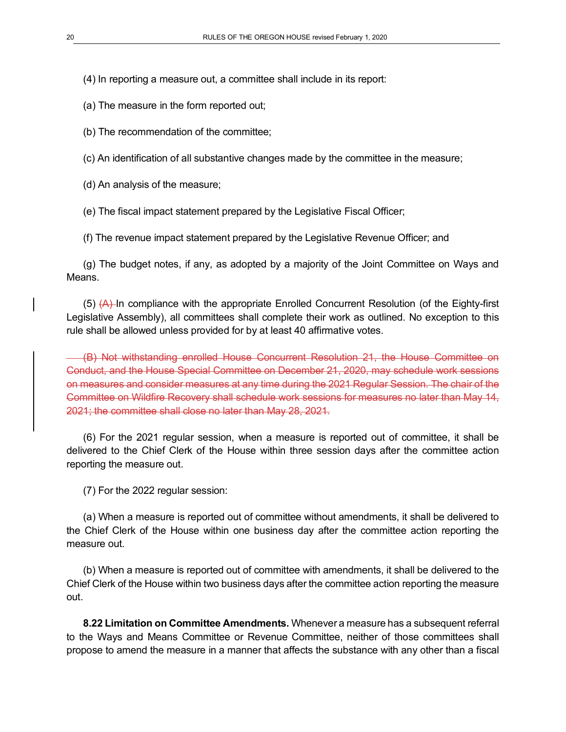(4) In reporting a measure out, a committee shall include in its report:

(a) The measure in the form reported out;

(b) The recommendation of the committee;

(c) An identification of all substantive changes made by the committee in the measure;

(d) An analysis of the measure;

(e) The fiscal impact statement prepared by the Legislative Fiscal Officer;

(f) The revenue impact statement prepared by the Legislative Revenue Officer; and

(g) The budget notes, if any, as adopted by a majority of the Joint Committee on Ways and Means.

 $(5)$   $(A)$ -In compliance with the appropriate Enrolled Concurrent Resolution (of the Eighty-first Legislative Assembly), all committees shall complete their work as outlined. No exception to this rule shall be allowed unless provided for by at least 40 affirmative votes.

(B) Not withstanding enrolled House Concurrent Resolution 21, the House Committee on Conduct, and the House Special Committee on December 21, 2020, may schedule work sessions on measures and consider measures at any time during the 2021 Regular Session. The chair of the Committee on Wildfire Recovery shall schedule work sessions for measures no later than May 14, 2021; the committee shall close no later than May 28, 2021.

(6) For the 2021 regular session, when a measure is reported out of committee, it shall be delivered to the Chief Clerk of the House within three session days after the committee action reporting the measure out.

(7) For the 2022 regular session:

(a) When a measure is reported out of committee without amendments, it shall be delivered to the Chief Clerk of the House within one business day after the committee action reporting the measure out.

(b) When a measure is reported out of committee with amendments, it shall be delivered to the Chief Clerk of the House within two business days after the committee action reporting the measure out.

**8.22 Limitation on Committee Amendments.** Whenever a measure has a subsequent referral to the Ways and Means Committee or Revenue Committee, neither of those committees shall propose to amend the measure in a manner that affects the substance with any other than a fiscal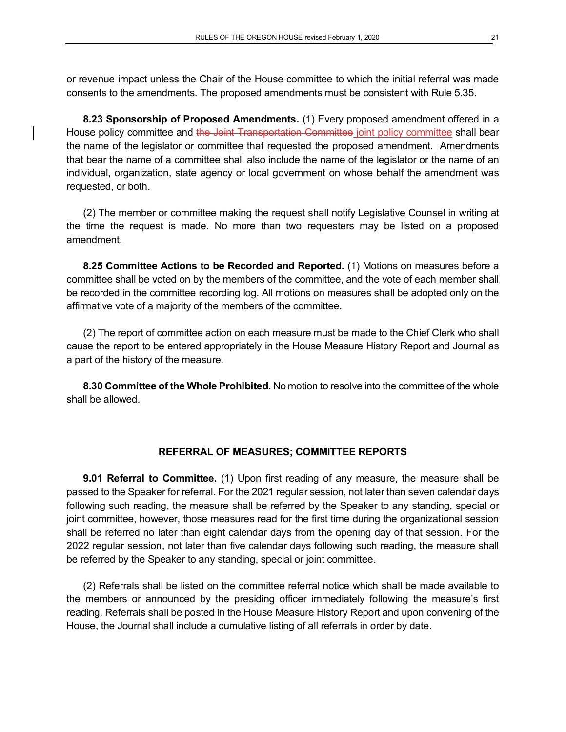or revenue impact unless the Chair of the House committee to which the initial referral was made consents to the amendments. The proposed amendments must be consistent with Rule 5.35.

**8.23 Sponsorship of Proposed Amendments.** (1) Every proposed amendment offered in a House policy committee and the Joint Transportation Committee joint policy committee shall bear the name of the legislator or committee that requested the proposed amendment. Amendments that bear the name of a committee shall also include the name of the legislator or the name of an individual, organization, state agency or local government on whose behalf the amendment was requested, or both.

(2) The member or committee making the request shall notify Legislative Counsel in writing at the time the request is made. No more than two requesters may be listed on a proposed amendment.

**8.25 Committee Actions to be Recorded and Reported.** (1) Motions on measures before a committee shall be voted on by the members of the committee, and the vote of each member shall be recorded in the committee recording log. All motions on measures shall be adopted only on the affirmative vote of a majority of the members of the committee.

(2) The report of committee action on each measure must be made to the Chief Clerk who shall cause the report to be entered appropriately in the House Measure History Report and Journal as a part of the history of the measure.

**8.30 Committee of the Whole Prohibited.** No motion to resolve into the committee of the whole shall be allowed.

### **REFERRAL OF MEASURES; COMMITTEE REPORTS**

**9.01 Referral to Committee.** (1) Upon first reading of any measure, the measure shall be passed to the Speaker for referral. For the 2021 regular session, not later than seven calendar days following such reading, the measure shall be referred by the Speaker to any standing, special or joint committee, however, those measures read for the first time during the organizational session shall be referred no later than eight calendar days from the opening day of that session. For the 2022 regular session, not later than five calendar days following such reading, the measure shall be referred by the Speaker to any standing, special or joint committee.

(2) Referrals shall be listed on the committee referral notice which shall be made available to the members or announced by the presiding officer immediately following the measure's first reading. Referrals shall be posted in the House Measure History Report and upon convening of the House, the Journal shall include a cumulative listing of all referrals in order by date.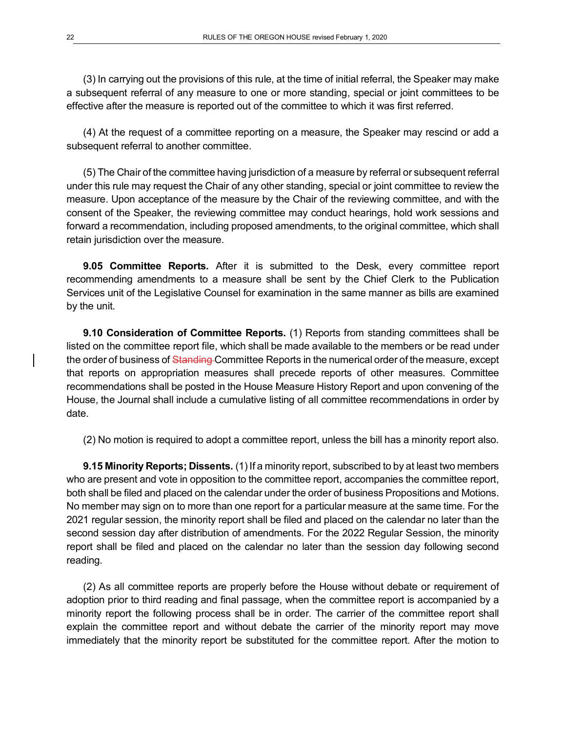(3) In carrying out the provisions of this rule, at the time of initial referral, the Speaker may make a subsequent referral of any measure to one or more standing, special or joint committees to be effective after the measure is reported out of the committee to which it was first referred.

(4) At the request of a committee reporting on a measure, the Speaker may rescind or add a subsequent referral to another committee.

(5) The Chair of the committee having jurisdiction of a measure by referral or subsequent referral under this rule may request the Chair of any other standing, special or joint committee to review the measure. Upon acceptance of the measure by the Chair of the reviewing committee, and with the consent of the Speaker, the reviewing committee may conduct hearings, hold work sessions and forward a recommendation, including proposed amendments, to the original committee, which shall retain jurisdiction over the measure.

**9.05 Committee Reports.** After it is submitted to the Desk, every committee report recommending amendments to a measure shall be sent by the Chief Clerk to the Publication Services unit of the Legislative Counsel for examination in the same manner as bills are examined by the unit.

**9.10 Consideration of Committee Reports.** (1) Reports from standing committees shall be listed on the committee report file, which shall be made available to the members or be read under the order of business of Standing Committee Reports in the numerical order of the measure, except that reports on appropriation measures shall precede reports of other measures. Committee recommendations shall be posted in the House Measure History Report and upon convening of the House, the Journal shall include a cumulative listing of all committee recommendations in order by date.

(2) No motion is required to adopt a committee report, unless the bill has a minority report also.

**9.15 Minority Reports; Dissents.** (1) If a minority report, subscribed to by at least two members who are present and vote in opposition to the committee report, accompanies the committee report, both shall be filed and placed on the calendar under the order of business Propositions and Motions. No member may sign on to more than one report for a particular measure at the same time. For the 2021 regular session, the minority report shall be filed and placed on the calendar no later than the second session day after distribution of amendments. For the 2022 Regular Session, the minority report shall be filed and placed on the calendar no later than the session day following second reading.

(2) As all committee reports are properly before the House without debate or requirement of adoption prior to third reading and final passage, when the committee report is accompanied by a minority report the following process shall be in order. The carrier of the committee report shall explain the committee report and without debate the carrier of the minority report may move immediately that the minority report be substituted for the committee report. After the motion to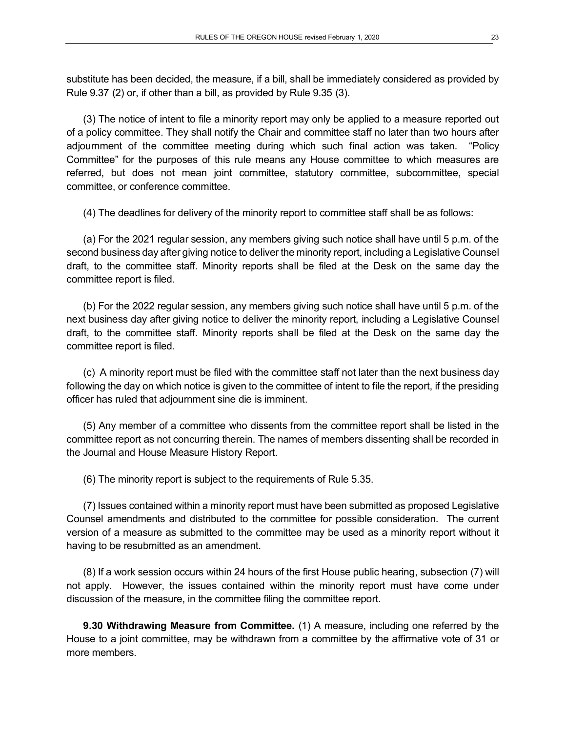substitute has been decided, the measure, if a bill, shall be immediately considered as provided by Rule 9.37 (2) or, if other than a bill, as provided by Rule 9.35 (3).

(3) The notice of intent to file a minority report may only be applied to a measure reported out of a policy committee. They shall notify the Chair and committee staff no later than two hours after adjournment of the committee meeting during which such final action was taken. "Policy Committee" for the purposes of this rule means any House committee to which measures are referred, but does not mean joint committee, statutory committee, subcommittee, special committee, or conference committee.

(4) The deadlines for delivery of the minority report to committee staff shall be as follows:

(a) For the 2021 regular session, any members giving such notice shall have until 5 p.m. of the second business day after giving notice to deliver the minority report, including a Legislative Counsel draft, to the committee staff. Minority reports shall be filed at the Desk on the same day the committee report is filed.

(b) For the 2022 regular session, any members giving such notice shall have until 5 p.m. of the next business day after giving notice to deliver the minority report, including a Legislative Counsel draft, to the committee staff. Minority reports shall be filed at the Desk on the same day the committee report is filed.

(c) A minority report must be filed with the committee staff not later than the next business day following the day on which notice is given to the committee of intent to file the report, if the presiding officer has ruled that adjournment sine die is imminent.

(5) Any member of a committee who dissents from the committee report shall be listed in the committee report as not concurring therein. The names of members dissenting shall be recorded in the Journal and House Measure History Report.

(6) The minority report is subject to the requirements of Rule 5.35.

(7) Issues contained within a minority report must have been submitted as proposed Legislative Counsel amendments and distributed to the committee for possible consideration. The current version of a measure as submitted to the committee may be used as a minority report without it having to be resubmitted as an amendment.

(8) If a work session occurs within 24 hours of the first House public hearing, subsection (7) will not apply. However, the issues contained within the minority report must have come under discussion of the measure, in the committee filing the committee report.

**9.30 Withdrawing Measure from Committee.** (1) A measure, including one referred by the House to a joint committee, may be withdrawn from a committee by the affirmative vote of 31 or more members.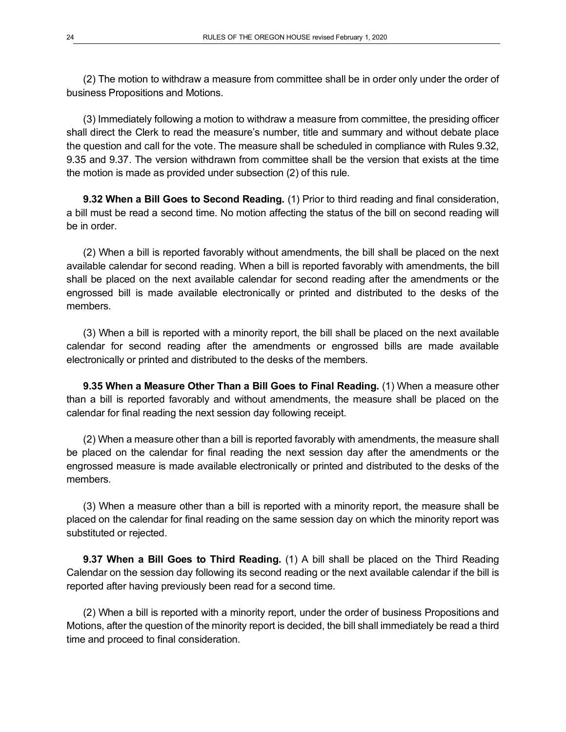(2) The motion to withdraw a measure from committee shall be in order only under the order of business Propositions and Motions.

(3) Immediately following a motion to withdraw a measure from committee, the presiding officer shall direct the Clerk to read the measure's number, title and summary and without debate place the question and call for the vote. The measure shall be scheduled in compliance with Rules 9.32, 9.35 and 9.37. The version withdrawn from committee shall be the version that exists at the time the motion is made as provided under subsection (2) of this rule.

**9.32 When a Bill Goes to Second Reading.** (1) Prior to third reading and final consideration, a bill must be read a second time. No motion affecting the status of the bill on second reading will be in order.

(2) When a bill is reported favorably without amendments, the bill shall be placed on the next available calendar for second reading. When a bill is reported favorably with amendments, the bill shall be placed on the next available calendar for second reading after the amendments or the engrossed bill is made available electronically or printed and distributed to the desks of the members.

(3) When a bill is reported with a minority report, the bill shall be placed on the next available calendar for second reading after the amendments or engrossed bills are made available electronically or printed and distributed to the desks of the members.

**9.35 When a Measure Other Than a Bill Goes to Final Reading.** (1) When a measure other than a bill is reported favorably and without amendments, the measure shall be placed on the calendar for final reading the next session day following receipt.

(2) When a measure other than a bill is reported favorably with amendments, the measure shall be placed on the calendar for final reading the next session day after the amendments or the engrossed measure is made available electronically or printed and distributed to the desks of the members.

(3) When a measure other than a bill is reported with a minority report, the measure shall be placed on the calendar for final reading on the same session day on which the minority report was substituted or rejected.

**9.37 When a Bill Goes to Third Reading.** (1) A bill shall be placed on the Third Reading Calendar on the session day following its second reading or the next available calendar if the bill is reported after having previously been read for a second time.

(2) When a bill is reported with a minority report, under the order of business Propositions and Motions, after the question of the minority report is decided, the bill shall immediately be read a third time and proceed to final consideration.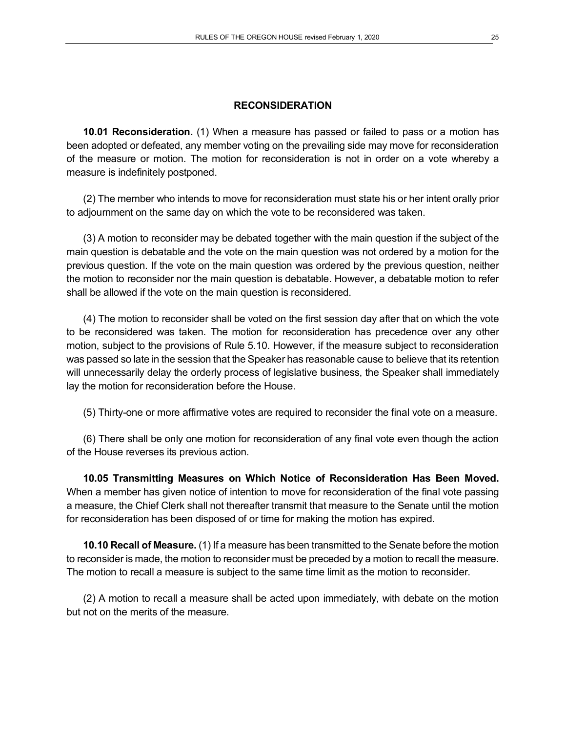#### **RECONSIDERATION**

**10.01 Reconsideration.** (1) When a measure has passed or failed to pass or a motion has been adopted or defeated, any member voting on the prevailing side may move for reconsideration of the measure or motion. The motion for reconsideration is not in order on a vote whereby a measure is indefinitely postponed.

(2) The member who intends to move for reconsideration must state his or her intent orally prior to adjournment on the same day on which the vote to be reconsidered was taken.

(3) A motion to reconsider may be debated together with the main question if the subject of the main question is debatable and the vote on the main question was not ordered by a motion for the previous question. If the vote on the main question was ordered by the previous question, neither the motion to reconsider nor the main question is debatable. However, a debatable motion to refer shall be allowed if the vote on the main question is reconsidered.

(4) The motion to reconsider shall be voted on the first session day after that on which the vote to be reconsidered was taken. The motion for reconsideration has precedence over any other motion, subject to the provisions of Rule 5.10. However, if the measure subject to reconsideration was passed so late in the session that the Speaker has reasonable cause to believe that its retention will unnecessarily delay the orderly process of legislative business, the Speaker shall immediately lay the motion for reconsideration before the House.

(5) Thirty-one or more affirmative votes are required to reconsider the final vote on a measure.

(6) There shall be only one motion for reconsideration of any final vote even though the action of the House reverses its previous action.

**10.05 Transmitting Measures on Which Notice of Reconsideration Has Been Moved.** When a member has given notice of intention to move for reconsideration of the final vote passing a measure, the Chief Clerk shall not thereafter transmit that measure to the Senate until the motion for reconsideration has been disposed of or time for making the motion has expired.

**10.10 Recall of Measure.** (1) If a measure has been transmitted to the Senate before the motion to reconsider is made, the motion to reconsider must be preceded by a motion to recall the measure. The motion to recall a measure is subject to the same time limit as the motion to reconsider.

(2) A motion to recall a measure shall be acted upon immediately, with debate on the motion but not on the merits of the measure.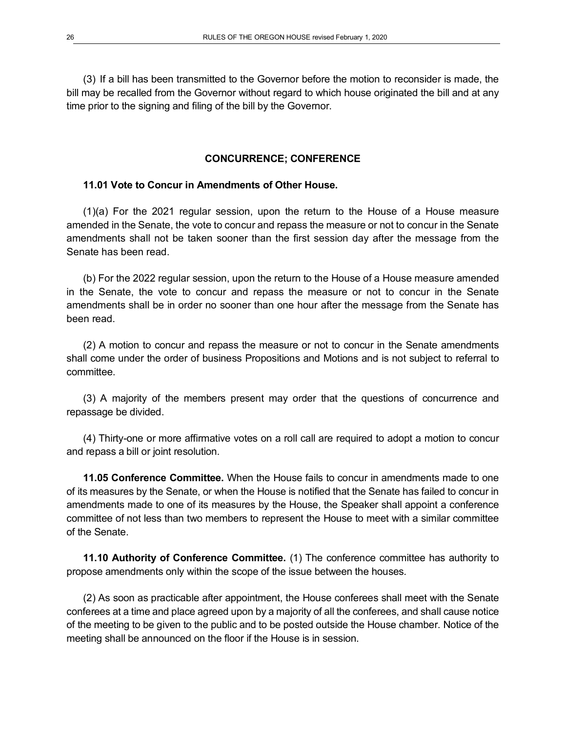(3) If a bill has been transmitted to the Governor before the motion to reconsider is made, the bill may be recalled from the Governor without regard to which house originated the bill and at any time prior to the signing and filing of the bill by the Governor.

### **CONCURRENCE; CONFERENCE**

### **11.01 Vote to Concur in Amendments of Other House.**

(1)(a) For the 2021 regular session, upon the return to the House of a House measure amended in the Senate, the vote to concur and repass the measure or not to concur in the Senate amendments shall not be taken sooner than the first session day after the message from the Senate has been read.

(b) For the 2022 regular session, upon the return to the House of a House measure amended in the Senate, the vote to concur and repass the measure or not to concur in the Senate amendments shall be in order no sooner than one hour after the message from the Senate has been read.

(2) A motion to concur and repass the measure or not to concur in the Senate amendments shall come under the order of business Propositions and Motions and is not subject to referral to committee.

(3) A majority of the members present may order that the questions of concurrence and repassage be divided.

(4) Thirty-one or more affirmative votes on a roll call are required to adopt a motion to concur and repass a bill or joint resolution.

**11.05 Conference Committee.** When the House fails to concur in amendments made to one of its measures by the Senate, or when the House is notified that the Senate has failed to concur in amendments made to one of its measures by the House, the Speaker shall appoint a conference committee of not less than two members to represent the House to meet with a similar committee of the Senate.

**11.10 Authority of Conference Committee.** (1) The conference committee has authority to propose amendments only within the scope of the issue between the houses.

(2) As soon as practicable after appointment, the House conferees shall meet with the Senate conferees at a time and place agreed upon by a majority of all the conferees, and shall cause notice of the meeting to be given to the public and to be posted outside the House chamber. Notice of the meeting shall be announced on the floor if the House is in session.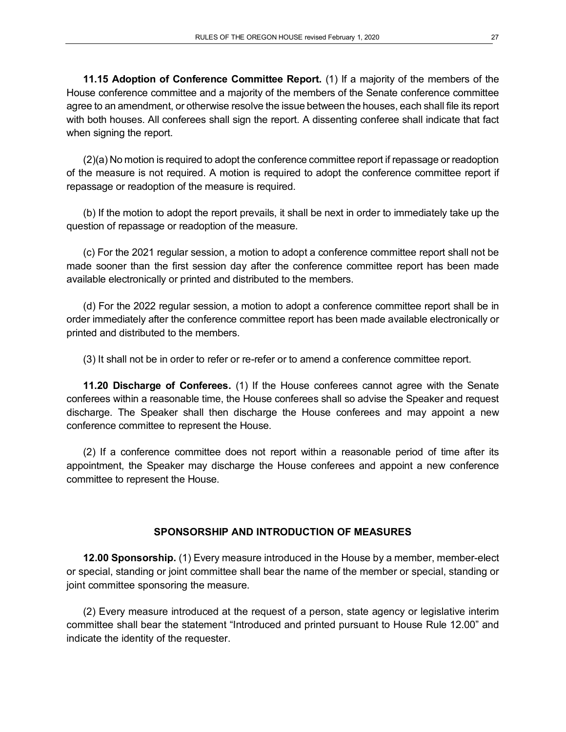**11.15 Adoption of Conference Committee Report.** (1) If a majority of the members of the House conference committee and a majority of the members of the Senate conference committee agree to an amendment, or otherwise resolve the issue between the houses, each shall file its report with both houses. All conferees shall sign the report. A dissenting conferee shall indicate that fact when signing the report.

(2)(a) No motion is required to adopt the conference committee report if repassage or readoption of the measure is not required. A motion is required to adopt the conference committee report if repassage or readoption of the measure is required.

(b) If the motion to adopt the report prevails, it shall be next in order to immediately take up the question of repassage or readoption of the measure.

(c) For the 2021 regular session, a motion to adopt a conference committee report shall not be made sooner than the first session day after the conference committee report has been made available electronically or printed and distributed to the members.

(d) For the 2022 regular session, a motion to adopt a conference committee report shall be in order immediately after the conference committee report has been made available electronically or printed and distributed to the members.

(3) It shall not be in order to refer or re-refer or to amend a conference committee report.

**11.20 Discharge of Conferees.** (1) If the House conferees cannot agree with the Senate conferees within a reasonable time, the House conferees shall so advise the Speaker and request discharge. The Speaker shall then discharge the House conferees and may appoint a new conference committee to represent the House.

(2) If a conference committee does not report within a reasonable period of time after its appointment, the Speaker may discharge the House conferees and appoint a new conference committee to represent the House.

### **SPONSORSHIP AND INTRODUCTION OF MEASURES**

**12.00 Sponsorship.** (1) Every measure introduced in the House by a member, member-elect or special, standing or joint committee shall bear the name of the member or special, standing or joint committee sponsoring the measure.

(2) Every measure introduced at the request of a person, state agency or legislative interim committee shall bear the statement "Introduced and printed pursuant to House Rule 12.00" and indicate the identity of the requester.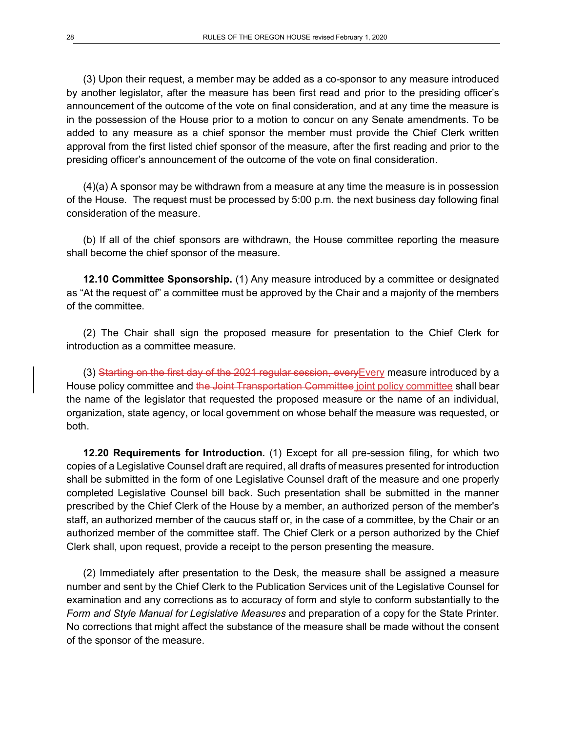(3) Upon their request, a member may be added as a co-sponsor to any measure introduced by another legislator, after the measure has been first read and prior to the presiding officer's announcement of the outcome of the vote on final consideration, and at any time the measure is in the possession of the House prior to a motion to concur on any Senate amendments. To be added to any measure as a chief sponsor the member must provide the Chief Clerk written approval from the first listed chief sponsor of the measure, after the first reading and prior to the presiding officer's announcement of the outcome of the vote on final consideration.

(4)(a) A sponsor may be withdrawn from a measure at any time the measure is in possession of the House. The request must be processed by 5:00 p.m. the next business day following final consideration of the measure.

(b) If all of the chief sponsors are withdrawn, the House committee reporting the measure shall become the chief sponsor of the measure.

**12.10 Committee Sponsorship.** (1) Any measure introduced by a committee or designated as "At the request of" a committee must be approved by the Chair and a majority of the members of the committee.

(2) The Chair shall sign the proposed measure for presentation to the Chief Clerk for introduction as a committee measure.

(3) Starting on the first day of the 2021 regular session, every Every measure introduced by a House policy committee and the Joint Transportation Committee joint policy committee shall bear the name of the legislator that requested the proposed measure or the name of an individual, organization, state agency, or local government on whose behalf the measure was requested, or both.

**12.20 Requirements for Introduction.** (1) Except for all pre-session filing, for which two copies of a Legislative Counsel draft are required, all drafts of measures presented for introduction shall be submitted in the form of one Legislative Counsel draft of the measure and one properly completed Legislative Counsel bill back. Such presentation shall be submitted in the manner prescribed by the Chief Clerk of the House by a member, an authorized person of the member's staff, an authorized member of the caucus staff or, in the case of a committee, by the Chair or an authorized member of the committee staff. The Chief Clerk or a person authorized by the Chief Clerk shall, upon request, provide a receipt to the person presenting the measure.

(2) Immediately after presentation to the Desk, the measure shall be assigned a measure number and sent by the Chief Clerk to the Publication Services unit of the Legislative Counsel for examination and any corrections as to accuracy of form and style to conform substantially to the *Form and Style Manual for Legislative Measures* and preparation of a copy for the State Printer. No corrections that might affect the substance of the measure shall be made without the consent of the sponsor of the measure.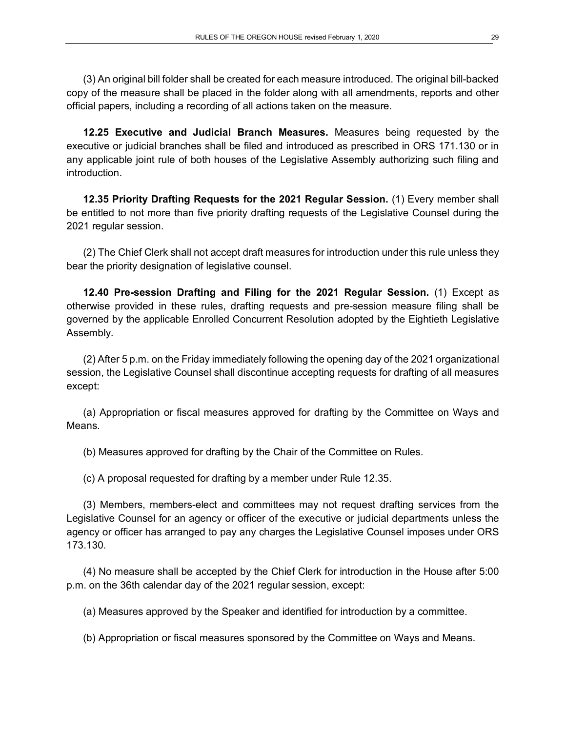(3) An original bill folder shall be created for each measure introduced. The original bill-backed copy of the measure shall be placed in the folder along with all amendments, reports and other official papers, including a recording of all actions taken on the measure.

**12.25 Executive and Judicial Branch Measures.** Measures being requested by the executive or judicial branches shall be filed and introduced as prescribed in ORS 171.130 or in any applicable joint rule of both houses of the Legislative Assembly authorizing such filing and introduction.

**12.35 Priority Drafting Requests for the 2021 Regular Session.** (1) Every member shall be entitled to not more than five priority drafting requests of the Legislative Counsel during the 2021 regular session.

(2) The Chief Clerk shall not accept draft measures for introduction under this rule unless they bear the priority designation of legislative counsel.

**12.40 Pre-session Drafting and Filing for the 2021 Regular Session.** (1) Except as otherwise provided in these rules, drafting requests and pre-session measure filing shall be governed by the applicable Enrolled Concurrent Resolution adopted by the Eightieth Legislative Assembly.

(2) After 5 p.m. on the Friday immediately following the opening day of the 2021 organizational session, the Legislative Counsel shall discontinue accepting requests for drafting of all measures except:

(a) Appropriation or fiscal measures approved for drafting by the Committee on Ways and Means.

(b) Measures approved for drafting by the Chair of the Committee on Rules.

(c) A proposal requested for drafting by a member under Rule 12.35.

(3) Members, members-elect and committees may not request drafting services from the Legislative Counsel for an agency or officer of the executive or judicial departments unless the agency or officer has arranged to pay any charges the Legislative Counsel imposes under ORS 173.130.

(4) No measure shall be accepted by the Chief Clerk for introduction in the House after 5:00 p.m. on the 36th calendar day of the 2021 regular session, except:

(a) Measures approved by the Speaker and identified for introduction by a committee.

(b) Appropriation or fiscal measures sponsored by the Committee on Ways and Means.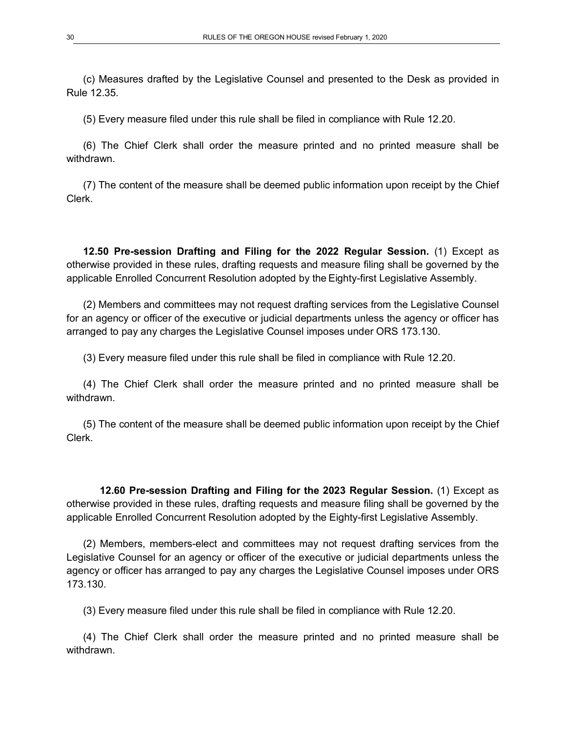(c) Measures drafted by the Legislative Counsel and presented to the Desk as provided in Rule 12.35.

(5) Every measure filed under this rule shall be filed in compliance with Rule 12.20.

(6) The Chief Clerk shall order the measure printed and no printed measure shall be withdrawn.

(7) The content of the measure shall be deemed public information upon receipt by the Chief Clerk.

**12.50 Pre-session Drafting and Filing for the 2022 Regular Session.** (1) Except as otherwise provided in these rules, drafting requests and measure filing shall be governed by the applicable Enrolled Concurrent Resolution adopted by the Eighty-first Legislative Assembly.

(2) Members and committees may not request drafting services from the Legislative Counsel for an agency or officer of the executive or judicial departments unless the agency or officer has arranged to pay any charges the Legislative Counsel imposes under ORS 173.130.

(3) Every measure filed under this rule shall be filed in compliance with Rule 12.20.

(4) The Chief Clerk shall order the measure printed and no printed measure shall be withdrawn.

(5) The content of the measure shall be deemed public information upon receipt by the Chief Clerk.

**12.60 Pre-session Drafting and Filing for the 2023 Regular Session.** (1) Except as otherwise provided in these rules, drafting requests and measure filing shall be governed by the applicable Enrolled Concurrent Resolution adopted by the Eighty-first Legislative Assembly.

(2) Members, members-elect and committees may not request drafting services from the Legislative Counsel for an agency or officer of the executive or judicial departments unless the agency or officer has arranged to pay any charges the Legislative Counsel imposes under ORS 173.130.

(3) Every measure filed under this rule shall be filed in compliance with Rule 12.20.

(4) The Chief Clerk shall order the measure printed and no printed measure shall be withdrawn.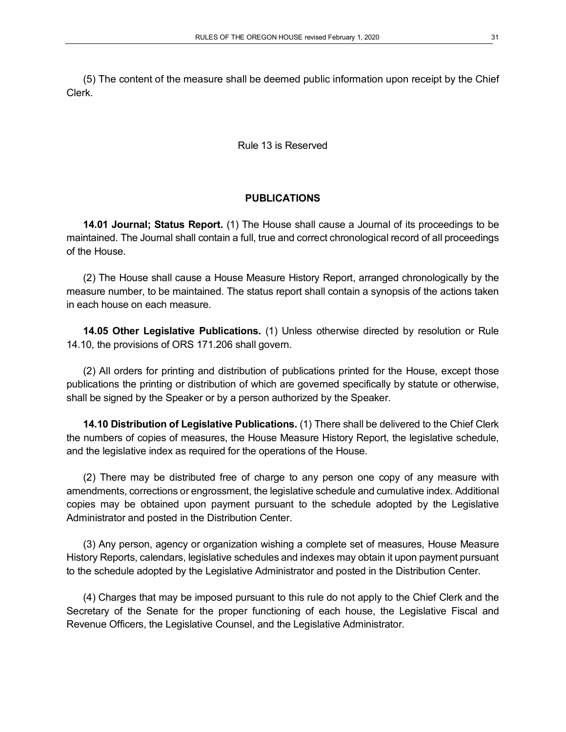(5) The content of the measure shall be deemed public information upon receipt by the Chief Clerk.

Rule 13 is Reserved

### **PUBLICATIONS**

**14.01 Journal; Status Report.** (1) The House shall cause a Journal of its proceedings to be maintained. The Journal shall contain a full, true and correct chronological record of all proceedings of the House.

(2) The House shall cause a House Measure History Report, arranged chronologically by the measure number, to be maintained. The status report shall contain a synopsis of the actions taken in each house on each measure.

**14.05 Other Legislative Publications.** (1) Unless otherwise directed by resolution or Rule 14.10, the provisions of ORS 171.206 shall govern.

(2) All orders for printing and distribution of publications printed for the House, except those publications the printing or distribution of which are governed specifically by statute or otherwise, shall be signed by the Speaker or by a person authorized by the Speaker.

**14.10 Distribution of Legislative Publications.** (1) There shall be delivered to the Chief Clerk the numbers of copies of measures, the House Measure History Report, the legislative schedule, and the legislative index as required for the operations of the House.

(2) There may be distributed free of charge to any person one copy of any measure with amendments, corrections or engrossment, the legislative schedule and cumulative index. Additional copies may be obtained upon payment pursuant to the schedule adopted by the Legislative Administrator and posted in the Distribution Center.

(3) Any person, agency or organization wishing a complete set of measures, House Measure History Reports, calendars, legislative schedules and indexes may obtain it upon payment pursuant to the schedule adopted by the Legislative Administrator and posted in the Distribution Center.

(4) Charges that may be imposed pursuant to this rule do not apply to the Chief Clerk and the Secretary of the Senate for the proper functioning of each house, the Legislative Fiscal and Revenue Officers, the Legislative Counsel, and the Legislative Administrator.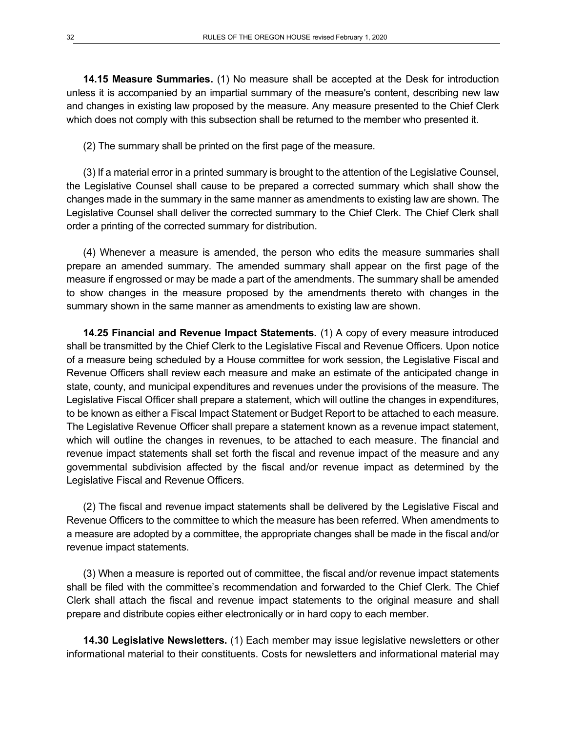**14.15 Measure Summaries.** (1) No measure shall be accepted at the Desk for introduction unless it is accompanied by an impartial summary of the measure's content, describing new law and changes in existing law proposed by the measure. Any measure presented to the Chief Clerk which does not comply with this subsection shall be returned to the member who presented it.

(2) The summary shall be printed on the first page of the measure.

(3) If a material error in a printed summary is brought to the attention of the Legislative Counsel, the Legislative Counsel shall cause to be prepared a corrected summary which shall show the changes made in the summary in the same manner as amendments to existing law are shown. The Legislative Counsel shall deliver the corrected summary to the Chief Clerk. The Chief Clerk shall order a printing of the corrected summary for distribution.

(4) Whenever a measure is amended, the person who edits the measure summaries shall prepare an amended summary. The amended summary shall appear on the first page of the measure if engrossed or may be made a part of the amendments. The summary shall be amended to show changes in the measure proposed by the amendments thereto with changes in the summary shown in the same manner as amendments to existing law are shown.

**14.25 Financial and Revenue Impact Statements.** (1) A copy of every measure introduced shall be transmitted by the Chief Clerk to the Legislative Fiscal and Revenue Officers. Upon notice of a measure being scheduled by a House committee for work session, the Legislative Fiscal and Revenue Officers shall review each measure and make an estimate of the anticipated change in state, county, and municipal expenditures and revenues under the provisions of the measure. The Legislative Fiscal Officer shall prepare a statement, which will outline the changes in expenditures, to be known as either a Fiscal Impact Statement or Budget Report to be attached to each measure. The Legislative Revenue Officer shall prepare a statement known as a revenue impact statement, which will outline the changes in revenues, to be attached to each measure. The financial and revenue impact statements shall set forth the fiscal and revenue impact of the measure and any governmental subdivision affected by the fiscal and/or revenue impact as determined by the Legislative Fiscal and Revenue Officers.

(2) The fiscal and revenue impact statements shall be delivered by the Legislative Fiscal and Revenue Officers to the committee to which the measure has been referred. When amendments to a measure are adopted by a committee, the appropriate changes shall be made in the fiscal and/or revenue impact statements.

(3) When a measure is reported out of committee, the fiscal and/or revenue impact statements shall be filed with the committee's recommendation and forwarded to the Chief Clerk. The Chief Clerk shall attach the fiscal and revenue impact statements to the original measure and shall prepare and distribute copies either electronically or in hard copy to each member.

**14.30 Legislative Newsletters.** (1) Each member may issue legislative newsletters or other informational material to their constituents. Costs for newsletters and informational material may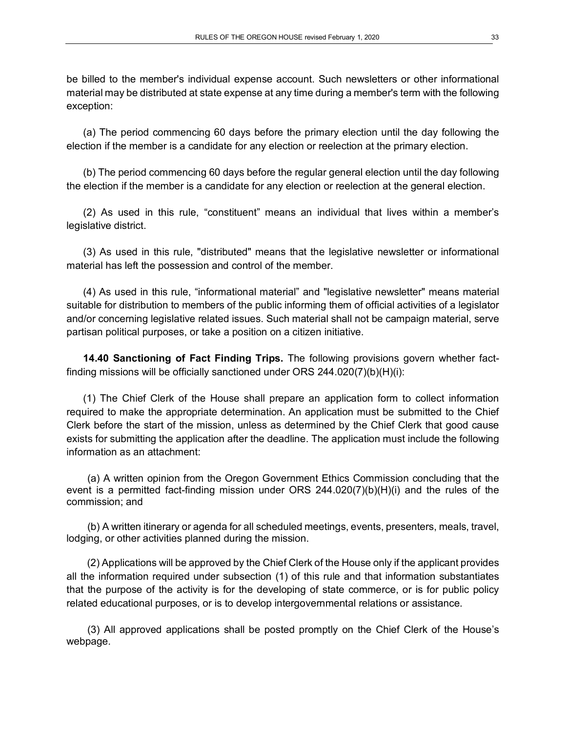be billed to the member's individual expense account. Such newsletters or other informational material may be distributed at state expense at any time during a member's term with the following exception:

(a) The period commencing 60 days before the primary election until the day following the election if the member is a candidate for any election or reelection at the primary election.

(b) The period commencing 60 days before the regular general election until the day following the election if the member is a candidate for any election or reelection at the general election.

(2) As used in this rule, "constituent" means an individual that lives within a member's legislative district.

(3) As used in this rule, "distributed" means that the legislative newsletter or informational material has left the possession and control of the member.

(4) As used in this rule, "informational material" and "legislative newsletter" means material suitable for distribution to members of the public informing them of official activities of a legislator and/or concerning legislative related issues. Such material shall not be campaign material, serve partisan political purposes, or take a position on a citizen initiative.

**14.40 Sanctioning of Fact Finding Trips.** The following provisions govern whether factfinding missions will be officially sanctioned under ORS 244.020(7)(b)(H)(i):

(1) The Chief Clerk of the House shall prepare an application form to collect information required to make the appropriate determination. An application must be submitted to the Chief Clerk before the start of the mission, unless as determined by the Chief Clerk that good cause exists for submitting the application after the deadline. The application must include the following information as an attachment:

(a) A written opinion from the Oregon Government Ethics Commission concluding that the event is a permitted fact-finding mission under ORS 244.020(7)(b)(H)(i) and the rules of the commission; and

(b) A written itinerary or agenda for all scheduled meetings, events, presenters, meals, travel, lodging, or other activities planned during the mission.

(2) Applications will be approved by the Chief Clerk of the House only if the applicant provides all the information required under subsection (1) of this rule and that information substantiates that the purpose of the activity is for the developing of state commerce, or is for public policy related educational purposes, or is to develop intergovernmental relations or assistance.

(3) All approved applications shall be posted promptly on the Chief Clerk of the House's webpage.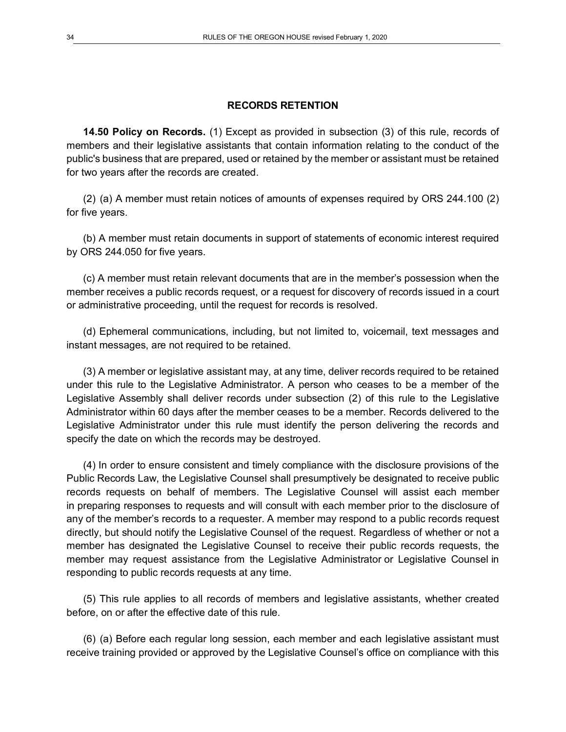#### **RECORDS RETENTION**

**14.50 Policy on Records.** (1) Except as provided in subsection (3) of this rule, records of members and their legislative assistants that contain information relating to the conduct of the public's business that are prepared, used or retained by the member or assistant must be retained for two years after the records are created.

(2) (a) A member must retain notices of amounts of expenses required by ORS 244.100 (2) for five years.

(b) A member must retain documents in support of statements of economic interest required by ORS 244.050 for five years.

(c) A member must retain relevant documents that are in the member's possession when the member receives a public records request, or a request for discovery of records issued in a court or administrative proceeding, until the request for records is resolved.

(d) Ephemeral communications, including, but not limited to, voicemail, text messages and instant messages, are not required to be retained.

(3) A member or legislative assistant may, at any time, deliver records required to be retained under this rule to the Legislative Administrator. A person who ceases to be a member of the Legislative Assembly shall deliver records under subsection (2) of this rule to the Legislative Administrator within 60 days after the member ceases to be a member. Records delivered to the Legislative Administrator under this rule must identify the person delivering the records and specify the date on which the records may be destroyed.

(4) In order to ensure consistent and timely compliance with the disclosure provisions of the Public Records Law, the Legislative Counsel shall presumptively be designated to receive public records requests on behalf of members. The Legislative Counsel will assist each member in preparing responses to requests and will consult with each member prior to the disclosure of any of the member's records to a requester. A member may respond to a public records request directly, but should notify the Legislative Counsel of the request. Regardless of whether or not a member has designated the Legislative Counsel to receive their public records requests, the member may request assistance from the Legislative Administrator or Legislative Counsel in responding to public records requests at any time.

(5) This rule applies to all records of members and legislative assistants, whether created before, on or after the effective date of this rule.

(6) (a) Before each regular long session, each member and each legislative assistant must receive training provided or approved by the Legislative Counsel's office on compliance with this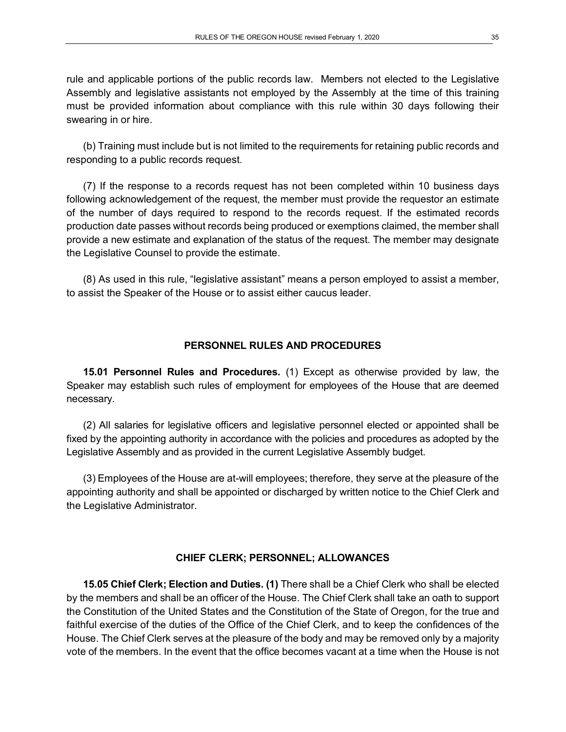rule and applicable portions of the public records law. Members not elected to the Legislative Assembly and legislative assistants not employed by the Assembly at the time of this training must be provided information about compliance with this rule within 30 days following their swearing in or hire.

(b) Training must include but is not limited to the requirements for retaining public records and responding to a public records request.

(7) If the response to a records request has not been completed within 10 business days following acknowledgement of the request, the member must provide the requestor an estimate of the number of days required to respond to the records request. If the estimated records production date passes without records being produced or exemptions claimed, the member shall provide a new estimate and explanation of the status of the request. The member may designate the Legislative Counsel to provide the estimate.

(8) As used in this rule, "legislative assistant" means a person employed to assist a member, to assist the Speaker of the House or to assist either caucus leader.

### **PERSONNEL RULES AND PROCEDURES**

**15.01 Personnel Rules and Procedures.** (1) Except as otherwise provided by law, the Speaker may establish such rules of employment for employees of the House that are deemed necessary.

(2) All salaries for legislative officers and legislative personnel elected or appointed shall be fixed by the appointing authority in accordance with the policies and procedures as adopted by the Legislative Assembly and as provided in the current Legislative Assembly budget.

(3) Employees of the House are at-will employees; therefore, they serve at the pleasure of the appointing authority and shall be appointed or discharged by written notice to the Chief Clerk and the Legislative Administrator.

#### **CHIEF CLERK; PERSONNEL; ALLOWANCES**

**15.05 Chief Clerk; Election and Duties. (1)** There shall be a Chief Clerk who shall be elected by the members and shall be an officer of the House. The Chief Clerk shall take an oath to support the Constitution of the United States and the Constitution of the State of Oregon, for the true and faithful exercise of the duties of the Office of the Chief Clerk, and to keep the confidences of the House. The Chief Clerk serves at the pleasure of the body and may be removed only by a majority vote of the members. In the event that the office becomes vacant at a time when the House is not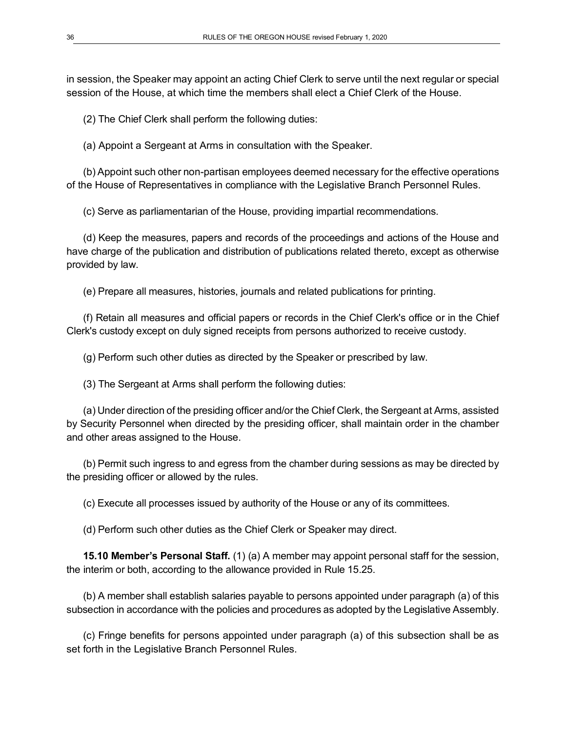in session, the Speaker may appoint an acting Chief Clerk to serve until the next regular or special session of the House, at which time the members shall elect a Chief Clerk of the House.

(2) The Chief Clerk shall perform the following duties:

(a) Appoint a Sergeant at Arms in consultation with the Speaker.

(b) Appoint such other non-partisan employees deemed necessary for the effective operations of the House of Representatives in compliance with the Legislative Branch Personnel Rules.

(c) Serve as parliamentarian of the House, providing impartial recommendations.

(d) Keep the measures, papers and records of the proceedings and actions of the House and have charge of the publication and distribution of publications related thereto, except as otherwise provided by law.

(e) Prepare all measures, histories, journals and related publications for printing.

(f) Retain all measures and official papers or records in the Chief Clerk's office or in the Chief Clerk's custody except on duly signed receipts from persons authorized to receive custody.

(g) Perform such other duties as directed by the Speaker or prescribed by law.

(3) The Sergeant at Arms shall perform the following duties:

(a) Under direction of the presiding officer and/or the Chief Clerk, the Sergeant at Arms, assisted by Security Personnel when directed by the presiding officer, shall maintain order in the chamber and other areas assigned to the House.

(b) Permit such ingress to and egress from the chamber during sessions as may be directed by the presiding officer or allowed by the rules.

(c) Execute all processes issued by authority of the House or any of its committees.

(d) Perform such other duties as the Chief Clerk or Speaker may direct.

**15.10 Member's Personal Staff.** (1) (a) A member may appoint personal staff for the session, the interim or both, according to the allowance provided in Rule 15.25.

(b) A member shall establish salaries payable to persons appointed under paragraph (a) of this subsection in accordance with the policies and procedures as adopted by the Legislative Assembly.

(c) Fringe benefits for persons appointed under paragraph (a) of this subsection shall be as set forth in the Legislative Branch Personnel Rules.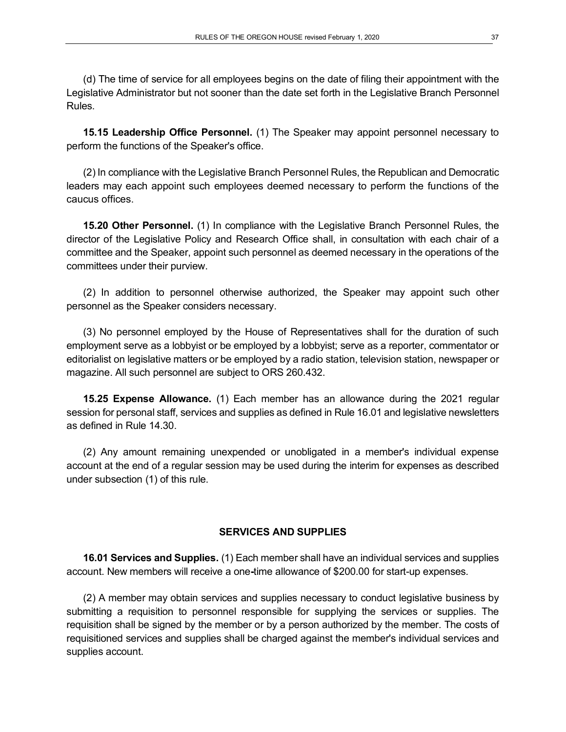(d) The time of service for all employees begins on the date of filing their appointment with the Legislative Administrator but not sooner than the date set forth in the Legislative Branch Personnel Rules.

**15.15 Leadership Office Personnel.** (1) The Speaker may appoint personnel necessary to perform the functions of the Speaker's office.

(2) In compliance with the Legislative Branch Personnel Rules, the Republican and Democratic leaders may each appoint such employees deemed necessary to perform the functions of the caucus offices.

**15.20 Other Personnel.** (1) In compliance with the Legislative Branch Personnel Rules, the director of the Legislative Policy and Research Office shall, in consultation with each chair of a committee and the Speaker, appoint such personnel as deemed necessary in the operations of the committees under their purview.

(2) In addition to personnel otherwise authorized, the Speaker may appoint such other personnel as the Speaker considers necessary.

(3) No personnel employed by the House of Representatives shall for the duration of such employment serve as a lobbyist or be employed by a lobbyist; serve as a reporter, commentator or editorialist on legislative matters or be employed by a radio station, television station, newspaper or magazine. All such personnel are subject to ORS 260.432.

**15.25 Expense Allowance.** (1) Each member has an allowance during the 2021 regular session for personal staff, services and supplies as defined in Rule 16.01 and legislative newsletters as defined in Rule 14.30.

(2) Any amount remaining unexpended or unobligated in a member's individual expense account at the end of a regular session may be used during the interim for expenses as described under subsection (1) of this rule.

### **SERVICES AND SUPPLIES**

**16.01 Services and Supplies.** (1) Each member shall have an individual services and supplies account. New members will receive a one**-**time allowance of \$200.00 for start-up expenses.

(2) A member may obtain services and supplies necessary to conduct legislative business by submitting a requisition to personnel responsible for supplying the services or supplies. The requisition shall be signed by the member or by a person authorized by the member. The costs of requisitioned services and supplies shall be charged against the member's individual services and supplies account.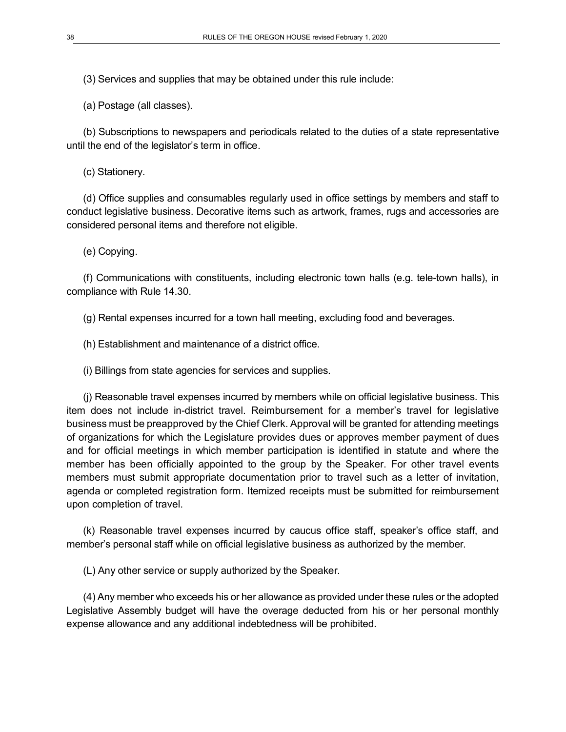(3) Services and supplies that may be obtained under this rule include:

(a) Postage (all classes).

(b) Subscriptions to newspapers and periodicals related to the duties of a state representative until the end of the legislator's term in office.

(c) Stationery.

(d) Office supplies and consumables regularly used in office settings by members and staff to conduct legislative business. Decorative items such as artwork, frames, rugs and accessories are considered personal items and therefore not eligible.

(e) Copying.

(f) Communications with constituents, including electronic town halls (e.g. tele-town halls), in compliance with Rule 14.30.

(g) Rental expenses incurred for a town hall meeting, excluding food and beverages.

(h) Establishment and maintenance of a district office.

(i) Billings from state agencies for services and supplies.

(j) Reasonable travel expenses incurred by members while on official legislative business. This item does not include in-district travel. Reimbursement for a member's travel for legislative business must be preapproved by the Chief Clerk. Approval will be granted for attending meetings of organizations for which the Legislature provides dues or approves member payment of dues and for official meetings in which member participation is identified in statute and where the member has been officially appointed to the group by the Speaker. For other travel events members must submit appropriate documentation prior to travel such as a letter of invitation, agenda or completed registration form. Itemized receipts must be submitted for reimbursement upon completion of travel.

(k) Reasonable travel expenses incurred by caucus office staff, speaker's office staff, and member's personal staff while on official legislative business as authorized by the member.

(L) Any other service or supply authorized by the Speaker.

(4) Any member who exceeds his or her allowance as provided under these rules or the adopted Legislative Assembly budget will have the overage deducted from his or her personal monthly expense allowance and any additional indebtedness will be prohibited.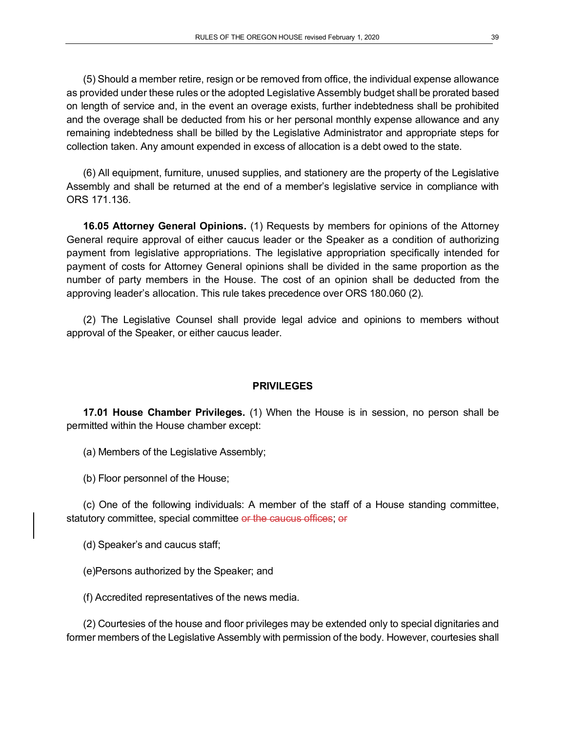(5) Should a member retire, resign or be removed from office, the individual expense allowance as provided under these rules or the adopted Legislative Assembly budget shall be prorated based on length of service and, in the event an overage exists, further indebtedness shall be prohibited and the overage shall be deducted from his or her personal monthly expense allowance and any remaining indebtedness shall be billed by the Legislative Administrator and appropriate steps for collection taken. Any amount expended in excess of allocation is a debt owed to the state.

(6) All equipment, furniture, unused supplies, and stationery are the property of the Legislative Assembly and shall be returned at the end of a member's legislative service in compliance with ORS 171.136.

**16.05 Attorney General Opinions.** (1) Requests by members for opinions of the Attorney General require approval of either caucus leader or the Speaker as a condition of authorizing payment from legislative appropriations. The legislative appropriation specifically intended for payment of costs for Attorney General opinions shall be divided in the same proportion as the number of party members in the House. The cost of an opinion shall be deducted from the approving leader's allocation. This rule takes precedence over ORS 180.060 (2).

(2) The Legislative Counsel shall provide legal advice and opinions to members without approval of the Speaker, or either caucus leader.

#### **PRIVILEGES**

**17.01 House Chamber Privileges.** (1) When the House is in session, no person shall be permitted within the House chamber except:

(a) Members of the Legislative Assembly;

(b) Floor personnel of the House;

(c) One of the following individuals: A member of the staff of a House standing committee, statutory committee, special committee or the caucus offices; or

(d) Speaker's and caucus staff;

(e)Persons authorized by the Speaker; and

(f) Accredited representatives of the news media.

(2) Courtesies of the house and floor privileges may be extended only to special dignitaries and former members of the Legislative Assembly with permission of the body. However, courtesies shall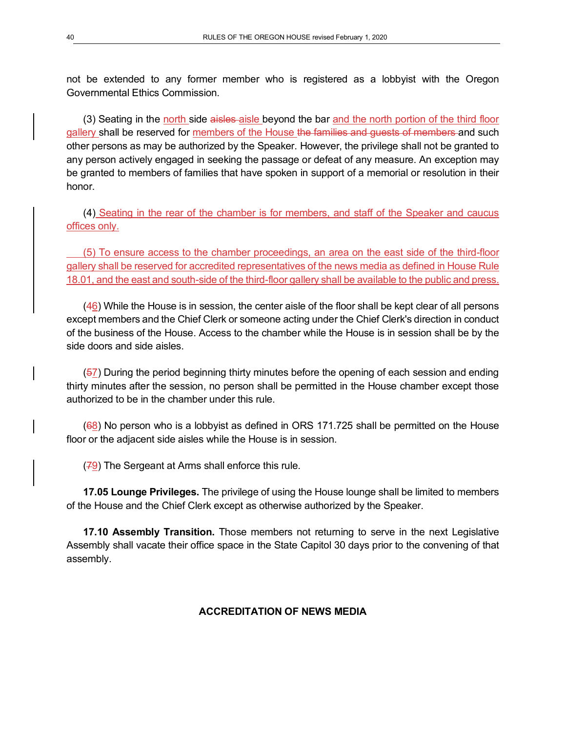not be extended to any former member who is registered as a lobbyist with the Oregon Governmental Ethics Commission.

(3) Seating in the north side aisles aisle beyond the bar and the north portion of the third floor gallery shall be reserved for members of the House the families and guests of members and such other persons as may be authorized by the Speaker. However, the privilege shall not be granted to any person actively engaged in seeking the passage or defeat of any measure. An exception may be granted to members of families that have spoken in support of a memorial or resolution in their honor.

(4) Seating in the rear of the chamber is for members, and staff of the Speaker and caucus offices only.

(5) To ensure access to the chamber proceedings, an area on the east side of the third-floor gallery shall be reserved for accredited representatives of the news media as defined in House Rule 18.01, and the east and south-side of the third-floor gallery shall be available to the public and press.

(46) While the House is in session, the center aisle of the floor shall be kept clear of all persons except members and the Chief Clerk or someone acting under the Chief Clerk's direction in conduct of the business of the House. Access to the chamber while the House is in session shall be by the side doors and side aisles.

(57) During the period beginning thirty minutes before the opening of each session and ending thirty minutes after the session, no person shall be permitted in the House chamber except those authorized to be in the chamber under this rule.

(68) No person who is a lobbyist as defined in ORS 171.725 shall be permitted on the House floor or the adjacent side aisles while the House is in session.

 $(79)$  The Sergeant at Arms shall enforce this rule.

**17.05 Lounge Privileges.** The privilege of using the House lounge shall be limited to members of the House and the Chief Clerk except as otherwise authorized by the Speaker.

**17.10 Assembly Transition.** Those members not returning to serve in the next Legislative Assembly shall vacate their office space in the State Capitol 30 days prior to the convening of that assembly.

### **ACCREDITATION OF NEWS MEDIA**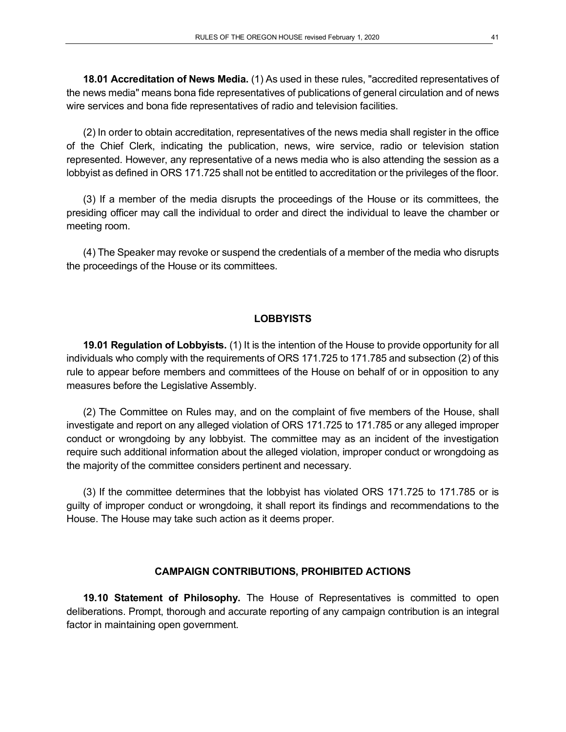**18.01 Accreditation of News Media.** (1) As used in these rules, "accredited representatives of the news media" means bona fide representatives of publications of general circulation and of news wire services and bona fide representatives of radio and television facilities.

(2) In order to obtain accreditation, representatives of the news media shall register in the office of the Chief Clerk, indicating the publication, news, wire service, radio or television station represented. However, any representative of a news media who is also attending the session as a lobbyist as defined in ORS 171.725 shall not be entitled to accreditation or the privileges of the floor.

(3) If a member of the media disrupts the proceedings of the House or its committees, the presiding officer may call the individual to order and direct the individual to leave the chamber or meeting room.

(4) The Speaker may revoke or suspend the credentials of a member of the media who disrupts the proceedings of the House or its committees.

#### **LOBBYISTS**

**19.01 Regulation of Lobbyists.** (1) It is the intention of the House to provide opportunity for all individuals who comply with the requirements of ORS 171.725 to 171.785 and subsection (2) of this rule to appear before members and committees of the House on behalf of or in opposition to any measures before the Legislative Assembly.

(2) The Committee on Rules may, and on the complaint of five members of the House, shall investigate and report on any alleged violation of ORS 171.725 to 171.785 or any alleged improper conduct or wrongdoing by any lobbyist. The committee may as an incident of the investigation require such additional information about the alleged violation, improper conduct or wrongdoing as the majority of the committee considers pertinent and necessary.

(3) If the committee determines that the lobbyist has violated ORS 171.725 to 171.785 or is guilty of improper conduct or wrongdoing, it shall report its findings and recommendations to the House. The House may take such action as it deems proper.

#### **CAMPAIGN CONTRIBUTIONS, PROHIBITED ACTIONS**

**19.10 Statement of Philosophy.** The House of Representatives is committed to open deliberations. Prompt, thorough and accurate reporting of any campaign contribution is an integral factor in maintaining open government.